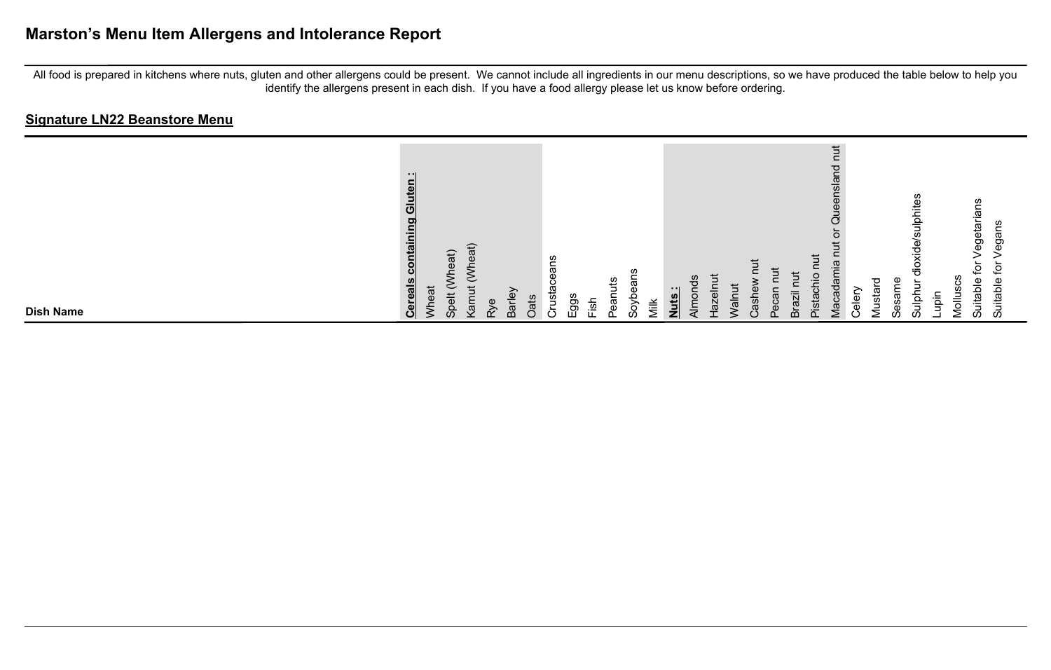# **Marston's Menu Item Allergens and Intolerance Report**

All food is prepared in kitchens where nuts, gluten and other allergens could be present. We cannot include all ingredients in our menu descriptions, so we have produced the table below to help you identify the allergens present in each dish. If you have a food allergy please let us know before ordering.

| <b>Dish Name</b>                                                               |
|--------------------------------------------------------------------------------|
|                                                                                |
| - 11<br>Gluten<br>containing<br><b>Cereals</b><br>Wheat                        |
| 'heat)<br>も<br>$\Omega$<br>$\epsilon$                                          |
| Vheat)<br>$\overline{\phantom{0}}$<br>$\frac{1}{2}$<br>Φ<br>$\gtrsim$          |
| Barley                                                                         |
| Oats                                                                           |
| S.<br>œ<br>ω<br>cta<br>C.                                                      |
| ggs                                                                            |
| puts<br>ā<br>$\frac{1}{2}$                                                     |
| S.<br>සී<br>ڢ<br><u>ରୁ</u>                                                     |
| Viik                                                                           |
| $\cdot$ .<br>Nuts                                                              |
| Almon                                                                          |
| ㅎ<br>7g                                                                        |
| $\bar{5}$                                                                      |
| dsh                                                                            |
| lize<br>m                                                                      |
| ._<br>-<br>ista                                                                |
| $\overline{5}$<br>ರ<br>nslar<br>Ō<br>ω<br>._<br>-<br>ᡕᢐ<br>άò<br>$\frac{1}{2}$ |
| $\frac{e}{\Phi}$                                                               |
| ⊂<br>ਛ<br>Musta                                                                |
| Sā<br>ഗ                                                                        |
| <b>SC</b><br>흨<br>흥<br>$\frac{1}{\sigma}$<br>≒<br>흨<br>S                       |
| පී<br>Mollus<br>ią                                                             |
| egetarians<br>⊋<br>uitable<br>$\omega$                                         |
| ഇ<br>ğ<br>ءِ<br>uitable<br>S                                                   |
|                                                                                |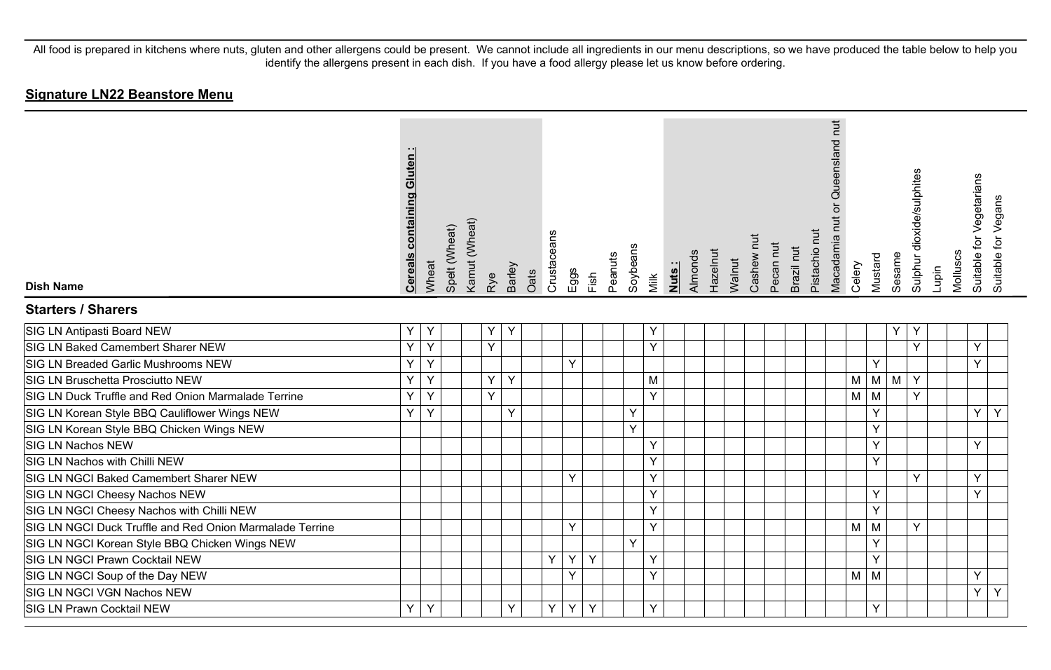| <b>Dish Name</b>                                         | <b>Cereals containing Gluten</b> | Wheat | Spelt (Wheat) | Kamut (Wheat) | Rye            | Barley | Oats | Crustaceans | Eggs | Fish | Peanuts | Soybeans | Nuts:<br>Milk | Almonds | Hazelnut | Walnut | Cashew nut | Pecan nut | Brazil nut | Pistachio nut | Queensland nut<br>Macadamia nut or | Celery | Mustard | Sesame     | Sulphur dioxide/sulphites | Lupin | Molluscs | Suitable for Vegetarians<br>Suitable for Vegans |  |
|----------------------------------------------------------|----------------------------------|-------|---------------|---------------|----------------|--------|------|-------------|------|------|---------|----------|---------------|---------|----------|--------|------------|-----------|------------|---------------|------------------------------------|--------|---------|------------|---------------------------|-------|----------|-------------------------------------------------|--|
| <b>Starters / Sharers</b>                                |                                  |       |               |               |                |        |      |             |      |      |         |          |               |         |          |        |            |           |            |               |                                    |        |         |            |                           |       |          |                                                 |  |
| SIG LN Antipasti Board NEW                               | Υ                                | Y     |               |               | Y              | Y      |      |             |      |      |         |          | Υ             |         |          |        |            |           |            |               |                                    |        |         | Υ          | Y                         |       |          |                                                 |  |
| SIG LN Baked Camembert Sharer NEW                        | Y                                | Y     |               |               | $\overline{Y}$ |        |      |             |      |      |         |          | Y             |         |          |        |            |           |            |               |                                    |        |         |            | Y                         |       |          | Y                                               |  |
| SIG LN Breaded Garlic Mushrooms NEW                      | Ÿ                                | Y     |               |               |                |        |      |             | Y    |      |         |          |               |         |          |        |            |           |            |               |                                    |        | Y       |            |                           |       |          | Y                                               |  |
| SIG LN Bruschetta Prosciutto NEW                         | Y                                | Y     |               |               | Y.             | Y      |      |             |      |      |         |          | M             |         |          |        |            |           |            |               |                                    | M      |         | $M \mid M$ | Y                         |       |          |                                                 |  |
| SIG LN Duck Truffle and Red Onion Marmalade Terrine      | Y                                | Y     |               |               | Y              |        |      |             |      |      |         |          | Y             |         |          |        |            |           |            |               |                                    | M      | M       |            | Y.                        |       |          |                                                 |  |
| SIG LN Korean Style BBQ Cauliflower Wings NEW            | Y                                | Y     |               |               |                | Υ      |      |             |      |      |         | Y        |               |         |          |        |            |           |            |               |                                    |        | Υ       |            |                           |       |          | Y<br>Y                                          |  |
| SIG LN Korean Style BBQ Chicken Wings NEW                |                                  |       |               |               |                |        |      |             |      |      |         | Y        |               |         |          |        |            |           |            |               |                                    |        | Y       |            |                           |       |          |                                                 |  |
| <b>SIG LN Nachos NEW</b>                                 |                                  |       |               |               |                |        |      |             |      |      |         |          | Y             |         |          |        |            |           |            |               |                                    |        | Y       |            |                           |       |          | Y                                               |  |
| SIG LN Nachos with Chilli NEW                            |                                  |       |               |               |                |        |      |             |      |      |         |          | Y             |         |          |        |            |           |            |               |                                    |        | Y       |            |                           |       |          |                                                 |  |
| SIG LN NGCI Baked Camembert Sharer NEW                   |                                  |       |               |               |                |        |      |             | Y    |      |         |          | Y             |         |          |        |            |           |            |               |                                    |        |         |            | Y                         |       |          | Y                                               |  |
| SIG LN NGCI Cheesy Nachos NEW                            |                                  |       |               |               |                |        |      |             |      |      |         |          | Y             |         |          |        |            |           |            |               |                                    |        | Y       |            |                           |       |          | Y                                               |  |
| SIG LN NGCI Cheesy Nachos with Chilli NEW                |                                  |       |               |               |                |        |      |             |      |      |         |          | Y             |         |          |        |            |           |            |               |                                    |        | Y       |            |                           |       |          |                                                 |  |
| SIG LN NGCI Duck Truffle and Red Onion Marmalade Terrine |                                  |       |               |               |                |        |      |             | Y    |      |         |          | Y             |         |          |        |            |           |            |               |                                    | M      | M       |            | Y                         |       |          |                                                 |  |
| SIG LN NGCI Korean Style BBQ Chicken Wings NEW           |                                  |       |               |               |                |        |      |             |      |      |         | Y        |               |         |          |        |            |           |            |               |                                    |        | Y       |            |                           |       |          |                                                 |  |
| SIG LN NGCI Prawn Cocktail NEW                           |                                  |       |               |               |                |        |      | Y           | Y    | Y    |         |          | Y             |         |          |        |            |           |            |               |                                    |        | Y       |            |                           |       |          |                                                 |  |
| SIG LN NGCI Soup of the Day NEW                          |                                  |       |               |               |                |        |      |             | Y    |      |         |          | Y             |         |          |        |            |           |            |               |                                    | M      | M       |            |                           |       |          | Y                                               |  |
| SIG LN NGCI VGN Nachos NEW                               |                                  |       |               |               |                |        |      |             |      |      |         |          |               |         |          |        |            |           |            |               |                                    |        |         |            |                           |       |          | Y<br>Y                                          |  |
| <b>SIG LN Prawn Cocktail NEW</b>                         | Y                                | Y     |               |               |                | Υ      |      | Y           | Y    | Y    |         |          | Y             |         |          |        |            |           |            |               |                                    |        | Υ       |            |                           |       |          |                                                 |  |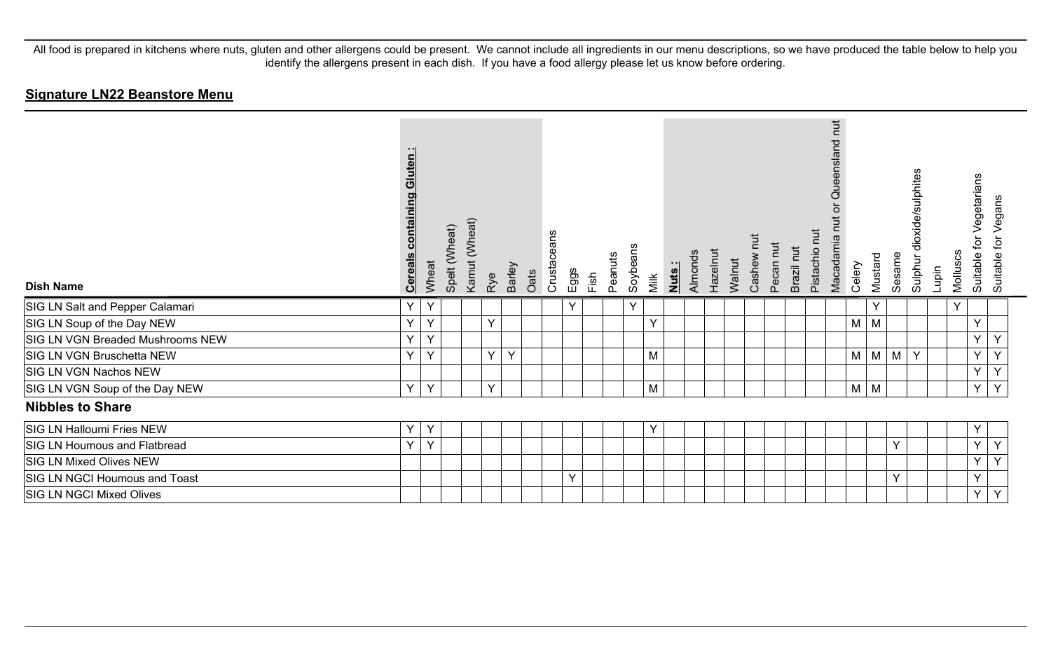| <b>Dish Name</b>                 | Gluten:<br>containing<br><u>Cereals</u> | Wheat | Spelt (Wheat) | Kamut (Wheat) | <b>Barley</b><br>Rye   | Oats | Crustaceans | Eggs<br>Fish | Peanuts | Soybeans | Milk         | Nuts: | Almonds | Hazelnut | Walnut | <b>TUT</b><br>Cashew I | Pecan nut | Pistachio nut<br>Brazil nut | Queensland nut<br>Macadamia | Celery | Mustard | Sesame | Sulphur dioxide/sulphites | Lupin | Molluscs | for Vegetarians<br>Suitable 1 | Suitable for Vegans |
|----------------------------------|-----------------------------------------|-------|---------------|---------------|------------------------|------|-------------|--------------|---------|----------|--------------|-------|---------|----------|--------|------------------------|-----------|-----------------------------|-----------------------------|--------|---------|--------|---------------------------|-------|----------|-------------------------------|---------------------|
| SIG LN Salt and Pepper Calamari  | Υ                                       | Y     |               |               |                        |      |             | Y            |         | Y        |              |       |         |          |        |                        |           |                             |                             |        | Υ       |        |                           |       | Y        |                               |                     |
| SIG LN Soup of the Day NEW       | Υ                                       | Y     |               |               | Y                      |      |             |              |         |          | $\vee$       |       |         |          |        |                        |           |                             |                             | M      | M       |        |                           |       |          | Y                             |                     |
| SIG LN VGN Breaded Mushrooms NEW | Υ                                       | Y     |               |               |                        |      |             |              |         |          |              |       |         |          |        |                        |           |                             |                             |        |         |        |                           |       |          | Y                             | Y                   |
| SIG LN VGN Bruschetta NEW        | Y                                       | Y     |               |               | $\checkmark$<br>$\vee$ |      |             |              |         |          | M            |       |         |          |        |                        |           |                             |                             | M      | M       | M      | Y                         |       |          | Y                             | Y                   |
| SIG LN VGN Nachos NEW            |                                         |       |               |               |                        |      |             |              |         |          |              |       |         |          |        |                        |           |                             |                             |        |         |        |                           |       |          | Y                             | Y                   |
| SIG LN VGN Soup of the Day NEW   | Y                                       | Y     |               |               | $\vee$                 |      |             |              |         |          | M            |       |         |          |        |                        |           |                             |                             | M      | M       |        |                           |       |          | Y                             | Y                   |
| <b>Nibbles to Share</b>          |                                         |       |               |               |                        |      |             |              |         |          |              |       |         |          |        |                        |           |                             |                             |        |         |        |                           |       |          |                               |                     |
| SIG LN Halloumi Fries NEW        | Υ                                       | Y     |               |               |                        |      |             |              |         |          | $\checkmark$ |       |         |          |        |                        |           |                             |                             |        |         |        |                           |       |          | Y                             |                     |
| SIG LN Houmous and Flatbread     | Y                                       | Y     |               |               |                        |      |             |              |         |          |              |       |         |          |        |                        |           |                             |                             |        |         | Y      |                           |       |          | Y                             | Y                   |
| <b>SIG LN Mixed Olives NEW</b>   |                                         |       |               |               |                        |      |             |              |         |          |              |       |         |          |        |                        |           |                             |                             |        |         |        |                           |       |          | Y                             | Y                   |
| SIG LN NGCI Houmous and Toast    |                                         |       |               |               |                        |      |             | Y            |         |          |              |       |         |          |        |                        |           |                             |                             |        |         | Y      |                           |       |          | Y                             |                     |
| SIG LN NGCI Mixed Olives         |                                         |       |               |               |                        |      |             |              |         |          |              |       |         |          |        |                        |           |                             |                             |        |         |        |                           |       |          | Y                             | Y                   |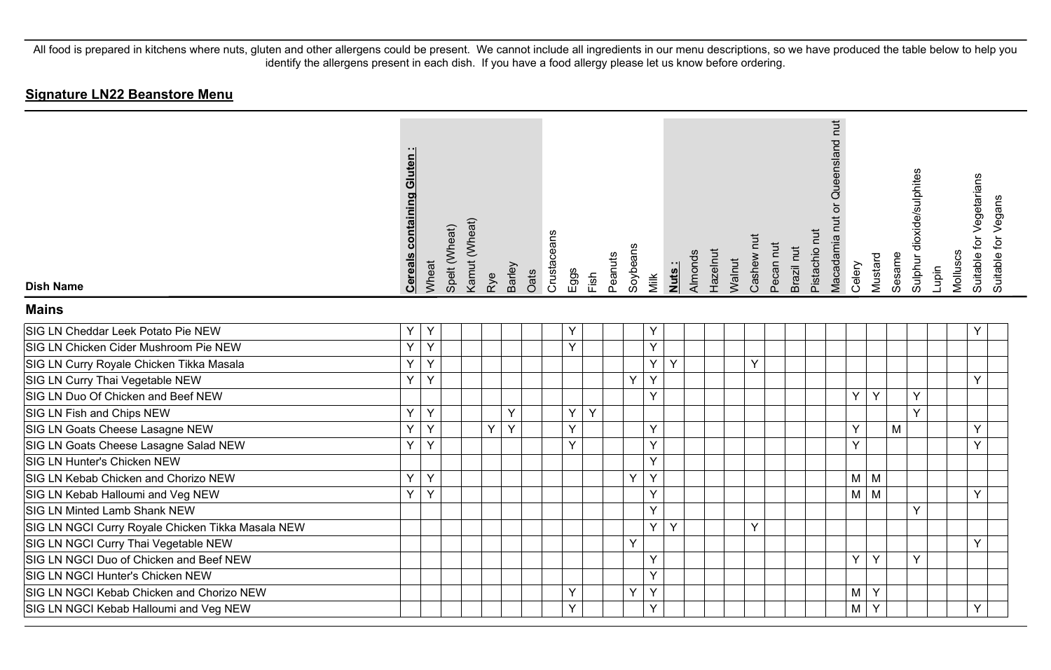| <b>Dish Name</b>                                  | <b>Cereals containing Gluten:</b> | Wheat | Spelt (Wheat) | Kamut (Wheat) | Rye | Barley | Oats | Crustaceans | Eggs | Fish | Peanuts | Soybeans | Milk | Nuts: | Almonds | Hazelnut | Walnut | Cashew nut | Pecan nut | Brazil nut | Pistachio nut | Queensland nut<br>ð<br>Macadamia nut | Celery     | Mustard | Sesame | Sulphur dioxide/sulphites | Lupin | Molluscs | Suitable for Vegetarians<br>Suitable for Vegans |
|---------------------------------------------------|-----------------------------------|-------|---------------|---------------|-----|--------|------|-------------|------|------|---------|----------|------|-------|---------|----------|--------|------------|-----------|------------|---------------|--------------------------------------|------------|---------|--------|---------------------------|-------|----------|-------------------------------------------------|
| <b>Mains</b>                                      |                                   |       |               |               |     |        |      |             |      |      |         |          |      |       |         |          |        |            |           |            |               |                                      |            |         |        |                           |       |          |                                                 |
| SIG LN Cheddar Leek Potato Pie NEW                | Y                                 | Y     |               |               |     |        |      |             | Y    |      |         |          | Υ    |       |         |          |        |            |           |            |               |                                      |            |         |        |                           |       |          | Y                                               |
| SIG LN Chicken Cider Mushroom Pie NEW             | Y                                 | Y     |               |               |     |        |      |             | Y    |      |         |          | Y    |       |         |          |        |            |           |            |               |                                      |            |         |        |                           |       |          |                                                 |
| SIG LN Curry Royale Chicken Tikka Masala          | Ÿ                                 | Y     |               |               |     |        |      |             |      |      |         |          | Y    | Y     |         |          |        | Y          |           |            |               |                                      |            |         |        |                           |       |          |                                                 |
| SIG LN Curry Thai Vegetable NEW                   | Y                                 | Y     |               |               |     |        |      |             |      |      |         | Y        | Y    |       |         |          |        |            |           |            |               |                                      |            |         |        |                           |       |          | Y                                               |
| SIG LN Duo Of Chicken and Beef NEW                |                                   |       |               |               |     |        |      |             |      |      |         |          | Y    |       |         |          |        |            |           |            |               |                                      | Y          | Y       |        | Y                         |       |          |                                                 |
| SIG LN Fish and Chips NEW                         | Y                                 | Y     |               |               |     | Y      |      |             | Y    | Y    |         |          |      |       |         |          |        |            |           |            |               |                                      |            |         |        | <b>v</b>                  |       |          |                                                 |
| SIG LN Goats Cheese Lasagne NEW                   | Y                                 | Y     |               |               | Y.  | Y      |      |             | Y    |      |         |          | Y    |       |         |          |        |            |           |            |               |                                      | Y          |         | M      |                           |       |          | Y                                               |
| SIG LN Goats Cheese Lasagne Salad NEW             | Ÿ                                 | Y     |               |               |     |        |      |             | Y    |      |         |          | Y    |       |         |          |        |            |           |            |               |                                      | Y          |         |        |                           |       |          | Ÿ                                               |
| SIG LN Hunter's Chicken NEW                       |                                   |       |               |               |     |        |      |             |      |      |         |          | Y    |       |         |          |        |            |           |            |               |                                      |            |         |        |                           |       |          |                                                 |
| SIG LN Kebab Chicken and Chorizo NEW              | Y                                 | Y     |               |               |     |        |      |             |      |      |         | Y        | Y    |       |         |          |        |            |           |            |               |                                      | $M \mid M$ |         |        |                           |       |          |                                                 |
| SIG LN Kebab Halloumi and Veg NEW                 | Ÿ                                 | Y     |               |               |     |        |      |             |      |      |         |          | Y    |       |         |          |        |            |           |            |               |                                      | $M \mid M$ |         |        |                           |       |          | Y                                               |
| SIG LN Minted Lamb Shank NEW                      |                                   |       |               |               |     |        |      |             |      |      |         |          | Y    |       |         |          |        |            |           |            |               |                                      |            |         |        | Y                         |       |          |                                                 |
| SIG LN NGCI Curry Royale Chicken Tikka Masala NEW |                                   |       |               |               |     |        |      |             |      |      |         |          | Y    | Y     |         |          |        | Υ          |           |            |               |                                      |            |         |        |                           |       |          |                                                 |
| SIG LN NGCI Curry Thai Vegetable NEW              |                                   |       |               |               |     |        |      |             |      |      |         | Y        |      |       |         |          |        |            |           |            |               |                                      |            |         |        |                           |       |          | Y                                               |
| SIG LN NGCI Duo of Chicken and Beef NEW           |                                   |       |               |               |     |        |      |             |      |      |         |          | Y    |       |         |          |        |            |           |            |               |                                      | Y          | Y       |        | Y                         |       |          |                                                 |
| SIG LN NGCI Hunter's Chicken NEW                  |                                   |       |               |               |     |        |      |             |      |      |         |          | Y    |       |         |          |        |            |           |            |               |                                      |            |         |        |                           |       |          |                                                 |
| SIG LN NGCI Kebab Chicken and Chorizo NEW         |                                   |       |               |               |     |        |      |             | Y    |      |         | Y        | Y    |       |         |          |        |            |           |            |               |                                      | M          | Y       |        |                           |       |          |                                                 |
| SIG LN NGCI Kebab Halloumi and Veg NEW            |                                   |       |               |               |     |        |      |             | Y    |      |         |          | Y    |       |         |          |        |            |           |            |               |                                      | M          | Y       |        |                           |       |          | Y                                               |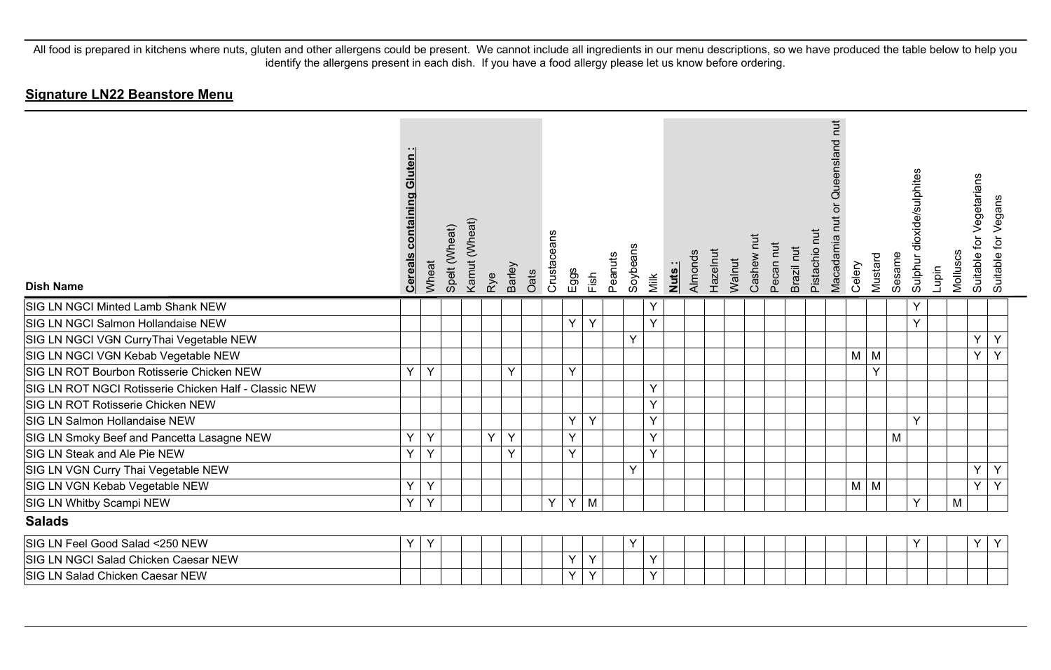| <b>Dish Name</b>                                      | Gluten<br>containing<br><b>Cereal</b> | Wheat | Spelt (Wheat) | Kamut (Wheat)<br>Rye | Barley | Oats | Crustaceans | Eggs | Fish | Peanuts | Soybeans | Milk | Nuts: | Almonds | Hazelnut | Walnut | Cashew nut | Pecan nut | Brazil nut | Pistachio nut | Queensland nut<br>ō<br>Macadamia nut | Celery   | Mustard | Sesame | dioxide/sulphites<br>Sulphur | Lupin | Molluscs | for Vegetarians<br>Suitable 1 | Suitable for Vegans |
|-------------------------------------------------------|---------------------------------------|-------|---------------|----------------------|--------|------|-------------|------|------|---------|----------|------|-------|---------|----------|--------|------------|-----------|------------|---------------|--------------------------------------|----------|---------|--------|------------------------------|-------|----------|-------------------------------|---------------------|
| SIG LN NGCI Minted Lamb Shank NEW                     |                                       |       |               |                      |        |      |             |      |      |         |          | Y    |       |         |          |        |            |           |            |               |                                      |          |         |        | Y                            |       |          |                               |                     |
| SIG LN NGCI Salmon Hollandaise NEW                    |                                       |       |               |                      |        |      |             | Y    | Y    |         |          | Y    |       |         |          |        |            |           |            |               |                                      |          |         |        | Y                            |       |          |                               |                     |
| SIG LN NGCI VGN CurryThai Vegetable NEW               |                                       |       |               |                      |        |      |             |      |      |         | Y        |      |       |         |          |        |            |           |            |               |                                      |          |         |        |                              |       |          | Y                             | Y                   |
| SIG LN NGCI VGN Kebab Vegetable NEW                   |                                       |       |               |                      |        |      |             |      |      |         |          |      |       |         |          |        |            |           |            |               |                                      | M        | M       |        |                              |       |          | Y.                            | Y                   |
| SIG LN ROT Bourbon Rotisserie Chicken NEW             | Y                                     | Y     |               |                      | Y      |      |             | Y    |      |         |          |      |       |         |          |        |            |           |            |               |                                      |          | $\vee$  |        |                              |       |          |                               |                     |
| SIG LN ROT NGCI Rotisserie Chicken Half - Classic NEW |                                       |       |               |                      |        |      |             |      |      |         |          | Y    |       |         |          |        |            |           |            |               |                                      |          |         |        |                              |       |          |                               |                     |
| SIG LN ROT Rotisserie Chicken NEW                     |                                       |       |               |                      |        |      |             |      |      |         |          | Y    |       |         |          |        |            |           |            |               |                                      |          |         |        |                              |       |          |                               |                     |
| SIG LN Salmon Hollandaise NEW                         |                                       |       |               |                      |        |      |             | Υ    | Y    |         |          | Y    |       |         |          |        |            |           |            |               |                                      |          |         |        | Y                            |       |          |                               |                     |
| SIG LN Smoky Beef and Pancetta Lasagne NEW            | Y                                     | Y     |               | Y                    | Y      |      |             | Υ    |      |         |          | Y    |       |         |          |        |            |           |            |               |                                      |          |         | M      |                              |       |          |                               |                     |
| SIG LN Steak and Ale Pie NEW                          | Y                                     | Y     |               |                      | Y      |      |             | Y    |      |         |          | Y    |       |         |          |        |            |           |            |               |                                      |          |         |        |                              |       |          |                               |                     |
| SIG LN VGN Curry Thai Vegetable NEW                   |                                       |       |               |                      |        |      |             |      |      |         | Y        |      |       |         |          |        |            |           |            |               |                                      |          |         |        |                              |       |          | Y                             | Y                   |
| SIG LN VGN Kebab Vegetable NEW                        | Y                                     | Y     |               |                      |        |      |             |      |      |         |          |      |       |         |          |        |            |           |            |               |                                      | $M \mid$ | M       |        |                              |       |          | Y                             | Y                   |
| SIG LN Whitby Scampi NEW                              | Y                                     | Y     |               |                      |        |      | Y           | Y    | M    |         |          |      |       |         |          |        |            |           |            |               |                                      |          |         |        | Y                            |       | M        |                               |                     |
| <b>Salads</b>                                         |                                       |       |               |                      |        |      |             |      |      |         |          |      |       |         |          |        |            |           |            |               |                                      |          |         |        |                              |       |          |                               |                     |
| SIG LN Feel Good Salad <250 NEW                       | Y                                     | Y     |               |                      |        |      |             |      |      |         | Y        |      |       |         |          |        |            |           |            |               |                                      |          |         |        | Y                            |       |          | Y                             | Y                   |
| SIG LN NGCI Salad Chicken Caesar NEW                  |                                       |       |               |                      |        |      |             | Υ    | Y    |         |          | Y    |       |         |          |        |            |           |            |               |                                      |          |         |        |                              |       |          |                               |                     |
| SIG LN Salad Chicken Caesar NEW                       |                                       |       |               |                      |        |      |             | Υ    | Y    |         |          | Y    |       |         |          |        |            |           |            |               |                                      |          |         |        |                              |       |          |                               |                     |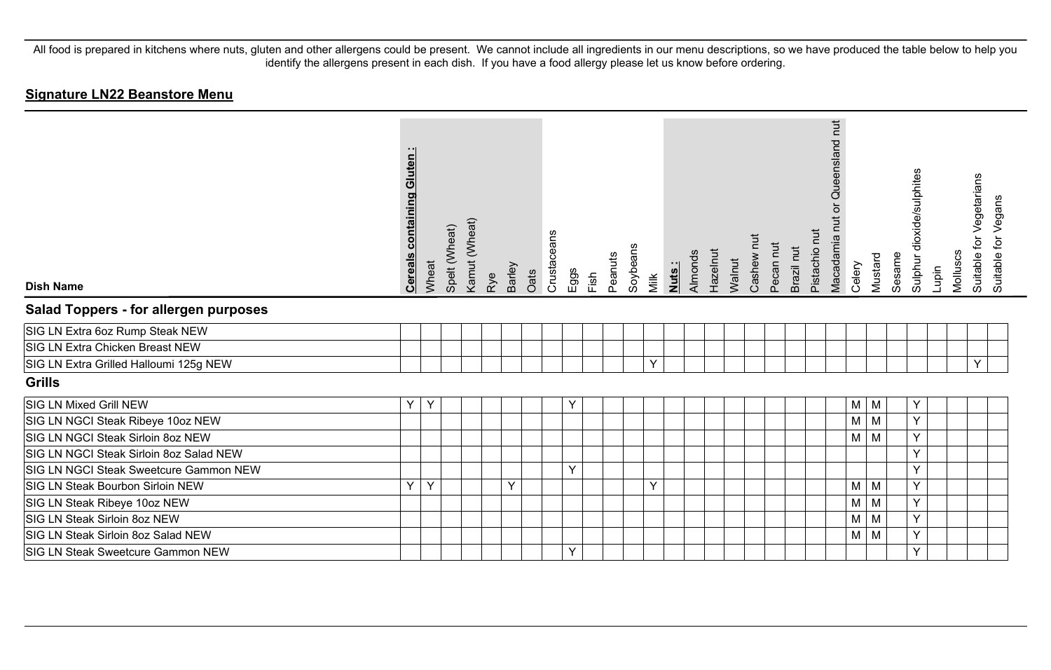| <b>Dish Name</b>                             | <b>Cereals containing Gluten:</b> | Wheat | Spelt (Wheat) | Kamut (Wheat) | Rye | Barley | Oats | Crustaceans | Eggs | Fish | Peanuts | Soybeans | Milk | Nuts: | Almonds | Hazelnut | Walnut | Cashew nut | Pecan nut | Brazil nut | Pistachio nut | Queensland nut<br>$\overline{a}$<br>Macadamia nut | Celery     | Mustard  | Sesame | Sulphur dioxide/sulphites | Lupin | Molluscs | for Vegetarians<br>Suitable | Suitable for Vegans |
|----------------------------------------------|-----------------------------------|-------|---------------|---------------|-----|--------|------|-------------|------|------|---------|----------|------|-------|---------|----------|--------|------------|-----------|------------|---------------|---------------------------------------------------|------------|----------|--------|---------------------------|-------|----------|-----------------------------|---------------------|
| <b>Salad Toppers - for allergen purposes</b> |                                   |       |               |               |     |        |      |             |      |      |         |          |      |       |         |          |        |            |           |            |               |                                                   |            |          |        |                           |       |          |                             |                     |
| SIG LN Extra 6oz Rump Steak NEW              |                                   |       |               |               |     |        |      |             |      |      |         |          |      |       |         |          |        |            |           |            |               |                                                   |            |          |        |                           |       |          |                             |                     |
| SIG LN Extra Chicken Breast NEW              |                                   |       |               |               |     |        |      |             |      |      |         |          |      |       |         |          |        |            |           |            |               |                                                   |            |          |        |                           |       |          |                             |                     |
| SIG LN Extra Grilled Halloumi 125g NEW       |                                   |       |               |               |     |        |      |             |      |      |         |          | Y    |       |         |          |        |            |           |            |               |                                                   |            |          |        |                           |       |          | Y                           |                     |
| Grills                                       |                                   |       |               |               |     |        |      |             |      |      |         |          |      |       |         |          |        |            |           |            |               |                                                   |            |          |        |                           |       |          |                             |                     |
| <b>SIG LN Mixed Grill NEW</b>                | Y                                 | Y     |               |               |     |        |      |             | Y    |      |         |          |      |       |         |          |        |            |           |            |               |                                                   | M          | M        |        | Y                         |       |          |                             |                     |
| SIG LN NGCI Steak Ribeye 10oz NEW            |                                   |       |               |               |     |        |      |             |      |      |         |          |      |       |         |          |        |            |           |            |               |                                                   | M          | M        |        | Y                         |       |          |                             |                     |
| SIG LN NGCI Steak Sirloin 8oz NEW            |                                   |       |               |               |     |        |      |             |      |      |         |          |      |       |         |          |        |            |           |            |               |                                                   | M          | M        |        | Y                         |       |          |                             |                     |
| SIG LN NGCI Steak Sirloin 8oz Salad NEW      |                                   |       |               |               |     |        |      |             |      |      |         |          |      |       |         |          |        |            |           |            |               |                                                   |            |          |        | Y                         |       |          |                             |                     |
| SIG LN NGCI Steak Sweetcure Gammon NEW       |                                   |       |               |               |     |        |      |             | Y    |      |         |          |      |       |         |          |        |            |           |            |               |                                                   |            |          |        | Y                         |       |          |                             |                     |
| SIG LN Steak Bourbon Sirloin NEW             | Y                                 | Y     |               |               |     | Y      |      |             |      |      |         |          | Y    |       |         |          |        |            |           |            |               |                                                   | $M \mid M$ |          |        | Y                         |       |          |                             |                     |
| SIG LN Steak Ribeye 10oz NEW                 |                                   |       |               |               |     |        |      |             |      |      |         |          |      |       |         |          |        |            |           |            |               |                                                   | M          | $\mid M$ |        | Y                         |       |          |                             |                     |
| SIG LN Steak Sirloin 8oz NEW                 |                                   |       |               |               |     |        |      |             |      |      |         |          |      |       |         |          |        |            |           |            |               |                                                   | M          | M        |        | Y                         |       |          |                             |                     |
| SIG LN Steak Sirloin 8oz Salad NEW           |                                   |       |               |               |     |        |      |             |      |      |         |          |      |       |         |          |        |            |           |            |               |                                                   | $M \mid M$ |          |        | Y                         |       |          |                             |                     |
| <b>SIG LN Steak Sweetcure Gammon NEW</b>     |                                   |       |               |               |     |        |      |             | Y    |      |         |          |      |       |         |          |        |            |           |            |               |                                                   |            |          |        | Y                         |       |          |                             |                     |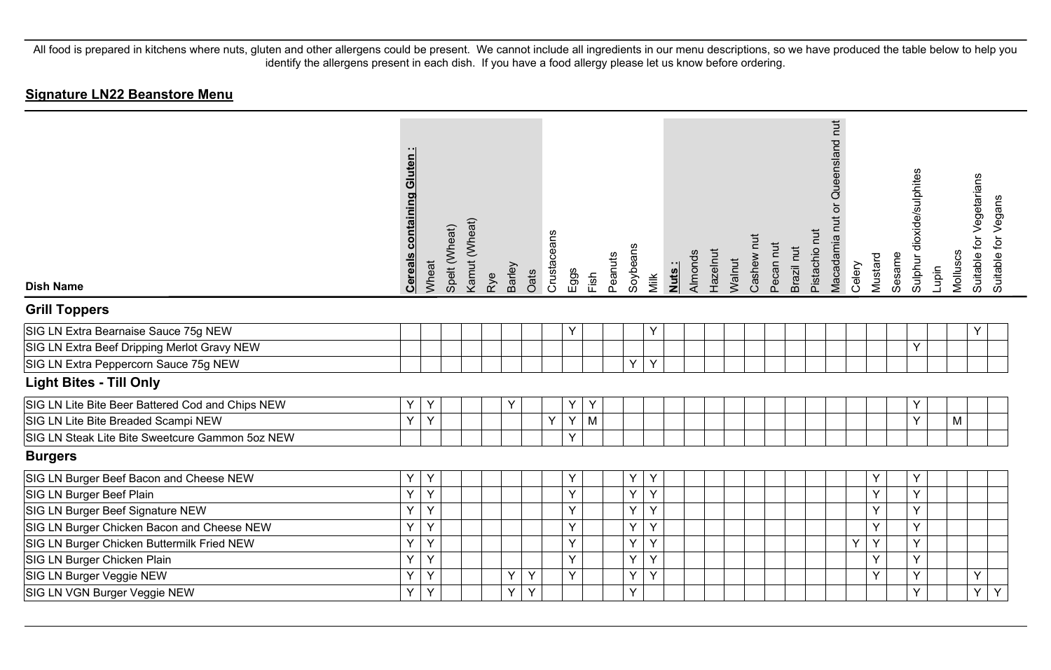| <b>Dish Name</b>                                 | <b>Cereals containing Gluten:</b> | Wheat | Spelt (Wheat) | Kamut (Wheat) | Rye | Barley | Oats | Crustaceans | Eggs | Fish | Peanuts | Soybeans | Milk | Nuts: | Almonds | Hazelnut | Walnut | Cashew nut | Pecan nut | Brazil nut | Pistachio nut | Queensland nut<br>$\overline{\sigma}$<br>Macadamia nut | Celery | Mustard | Sesame | Sulphur dioxide/sulphites | Lupin | Molluscs | for Vegetarians<br>Suitable 1 | Suitable for Vegans |
|--------------------------------------------------|-----------------------------------|-------|---------------|---------------|-----|--------|------|-------------|------|------|---------|----------|------|-------|---------|----------|--------|------------|-----------|------------|---------------|--------------------------------------------------------|--------|---------|--------|---------------------------|-------|----------|-------------------------------|---------------------|
| <b>Grill Toppers</b>                             |                                   |       |               |               |     |        |      |             |      |      |         |          |      |       |         |          |        |            |           |            |               |                                                        |        |         |        |                           |       |          |                               |                     |
| SIG LN Extra Bearnaise Sauce 75g NEW             |                                   |       |               |               |     |        |      |             | Y    |      |         |          | Υ    |       |         |          |        |            |           |            |               |                                                        |        |         |        |                           |       |          | Y                             |                     |
| SIG LN Extra Beef Dripping Merlot Gravy NEW      |                                   |       |               |               |     |        |      |             |      |      |         |          |      |       |         |          |        |            |           |            |               |                                                        |        |         |        | Y                         |       |          |                               |                     |
| SIG LN Extra Peppercorn Sauce 75g NEW            |                                   |       |               |               |     |        |      |             |      |      |         | Y        | Y    |       |         |          |        |            |           |            |               |                                                        |        |         |        |                           |       |          |                               |                     |
| <b>Light Bites - Till Only</b>                   |                                   |       |               |               |     |        |      |             |      |      |         |          |      |       |         |          |        |            |           |            |               |                                                        |        |         |        |                           |       |          |                               |                     |
| SIG LN Lite Bite Beer Battered Cod and Chips NEW | Y                                 | Y     |               |               |     | Υ      |      |             | Y    | Υ    |         |          |      |       |         |          |        |            |           |            |               |                                                        |        |         |        | Y                         |       |          |                               |                     |
| SIG LN Lite Bite Breaded Scampi NEW              | Y                                 | Y     |               |               |     |        |      | Y           | Y    | M    |         |          |      |       |         |          |        |            |           |            |               |                                                        |        |         |        | Y                         |       | M        |                               |                     |
| SIG LN Steak Lite Bite Sweetcure Gammon 5oz NEW  |                                   |       |               |               |     |        |      |             | Y    |      |         |          |      |       |         |          |        |            |           |            |               |                                                        |        |         |        |                           |       |          |                               |                     |
| <b>Burgers</b>                                   |                                   |       |               |               |     |        |      |             |      |      |         |          |      |       |         |          |        |            |           |            |               |                                                        |        |         |        |                           |       |          |                               |                     |
| SIG LN Burger Beef Bacon and Cheese NEW          | Y                                 | Y     |               |               |     |        |      |             | Υ    |      |         | Y        | Y    |       |         |          |        |            |           |            |               |                                                        |        | Υ       |        | Y                         |       |          |                               |                     |
| SIG LN Burger Beef Plain                         | Y                                 | Y     |               |               |     |        |      |             | Y    |      |         | Y        | Υ    |       |         |          |        |            |           |            |               |                                                        |        | Y       |        | Y                         |       |          |                               |                     |
| SIG LN Burger Beef Signature NEW                 | Y                                 | Y     |               |               |     |        |      |             | Y    |      |         | Y        | Y    |       |         |          |        |            |           |            |               |                                                        |        | Y       |        | Y                         |       |          |                               |                     |
| SIG LN Burger Chicken Bacon and Cheese NEW       | Y                                 | Y     |               |               |     |        |      |             | Y    |      |         | Y        | Y    |       |         |          |        |            |           |            |               |                                                        |        | Y       |        | Y                         |       |          |                               |                     |
| SIG LN Burger Chicken Buttermilk Fried NEW       | Ÿ                                 | Y     |               |               |     |        |      |             | Y    |      |         | Y        | Y    |       |         |          |        |            |           |            |               |                                                        | Y      | Y       |        | Y                         |       |          |                               |                     |
| SIG LN Burger Chicken Plain                      | Ý                                 | Y     |               |               |     |        |      |             | Y    |      |         | Y        | Y    |       |         |          |        |            |           |            |               |                                                        |        | Y       |        | Y                         |       |          |                               |                     |
| SIG LN Burger Veggie NEW                         | Ý                                 | Y     |               |               |     | Y      | Y    |             | Y    |      |         | Υ        | Y    |       |         |          |        |            |           |            |               |                                                        |        | Y       |        | Y                         |       |          | Y                             |                     |
| SIG LN VGN Burger Veggie NEW                     | Y                                 | Y     |               |               |     | Y      | Y    |             |      |      |         | Y        |      |       |         |          |        |            |           |            |               |                                                        |        |         |        | Y                         |       |          | Y.                            | Y                   |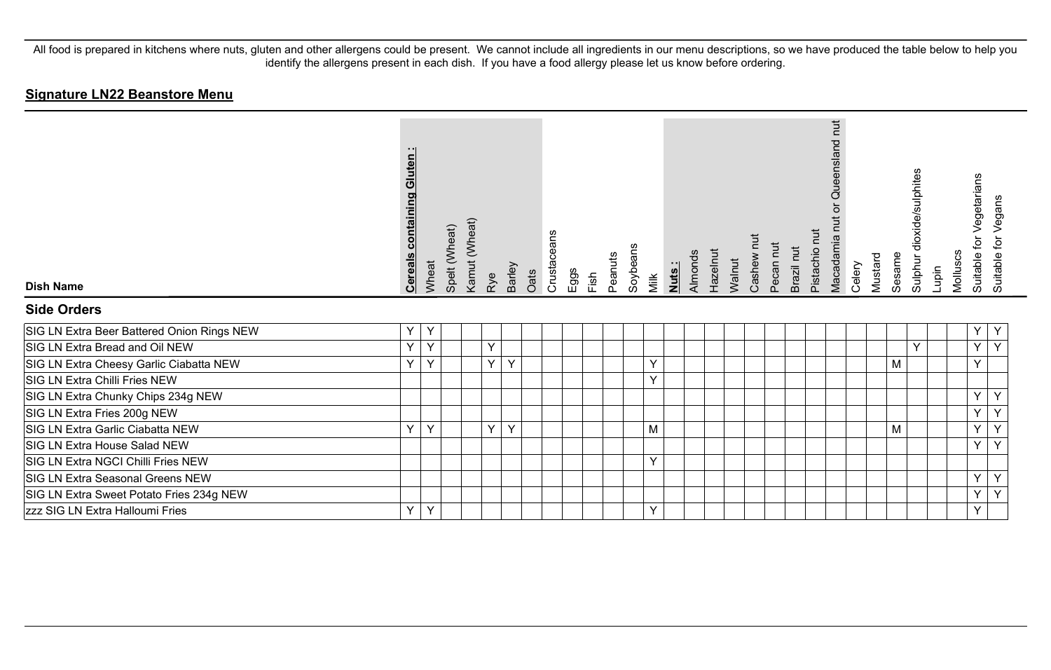| <b>Dish Name</b>                           | <b>Cereals containing Gluten:</b> | Wheat | Spelt (Wheat) | Kamut (Wheat) | Rye | Barley | Oats | Crustaceans | Eggs | Fish | Peanuts | Soybeans | Milk         | Nuts: | Almonds | Hazelnut | Walnut | Ξ<br>Cashew | Pecan nut | Brazil nut | Pistachio nut | Queensland nut<br>ŏ<br>Macadamia nut | Celery | Mustard | Sesame | Sulphur dioxide/sulphites | Lupin | Molluscs | Vegetarians<br>Suitable for \ | Suitable for Vegans |
|--------------------------------------------|-----------------------------------|-------|---------------|---------------|-----|--------|------|-------------|------|------|---------|----------|--------------|-------|---------|----------|--------|-------------|-----------|------------|---------------|--------------------------------------|--------|---------|--------|---------------------------|-------|----------|-------------------------------|---------------------|
| <b>Side Orders</b>                         |                                   |       |               |               |     |        |      |             |      |      |         |          |              |       |         |          |        |             |           |            |               |                                      |        |         |        |                           |       |          |                               |                     |
| SIG LN Extra Beer Battered Onion Rings NEW | Y                                 | Υ     |               |               |     |        |      |             |      |      |         |          |              |       |         |          |        |             |           |            |               |                                      |        |         |        |                           |       |          | Υ                             | Y                   |
| SIG LN Extra Bread and Oil NEW             | $\vee$                            | Y     |               |               | Y   |        |      |             |      |      |         |          |              |       |         |          |        |             |           |            |               |                                      |        |         |        | Y                         |       | Y        |                               | Y                   |
| SIG LN Extra Cheesy Garlic Ciabatta NEW    | $\vee$                            | Y     |               |               | Y.  | Y      |      |             |      |      |         |          | $\checkmark$ |       |         |          |        |             |           |            |               |                                      |        |         | M      |                           |       |          | Y                             |                     |
| SIG LN Extra Chilli Fries NEW              |                                   |       |               |               |     |        |      |             |      |      |         |          | v            |       |         |          |        |             |           |            |               |                                      |        |         |        |                           |       |          |                               |                     |
| SIG LN Extra Chunky Chips 234g NEW         |                                   |       |               |               |     |        |      |             |      |      |         |          |              |       |         |          |        |             |           |            |               |                                      |        |         |        |                           |       |          | Y                             | Y                   |
| SIG LN Extra Fries 200g NEW                |                                   |       |               |               |     |        |      |             |      |      |         |          |              |       |         |          |        |             |           |            |               |                                      |        |         |        |                           |       | Y        |                               | Y                   |
| SIG LN Extra Garlic Ciabatta NEW           | $\vee$                            | Y     |               |               | Y   | Y      |      |             |      |      |         |          | M            |       |         |          |        |             |           |            |               |                                      |        |         | M      |                           |       |          | Y                             | Y                   |
| SIG LN Extra House Salad NEW               |                                   |       |               |               |     |        |      |             |      |      |         |          |              |       |         |          |        |             |           |            |               |                                      |        |         |        |                           |       |          | Y                             | $\vee$              |
| SIG LN Extra NGCI Chilli Fries NEW         |                                   |       |               |               |     |        |      |             |      |      |         |          | $\checkmark$ |       |         |          |        |             |           |            |               |                                      |        |         |        |                           |       |          |                               |                     |
| SIG LN Extra Seasonal Greens NEW           |                                   |       |               |               |     |        |      |             |      |      |         |          |              |       |         |          |        |             |           |            |               |                                      |        |         |        |                           |       |          | Y                             | Y                   |
| SIG LN Extra Sweet Potato Fries 234g NEW   |                                   |       |               |               |     |        |      |             |      |      |         |          |              |       |         |          |        |             |           |            |               |                                      |        |         |        |                           |       | Y        |                               | Y                   |
| zzz SIG LN Extra Halloumi Fries            | $\vee$                            | Y     |               |               |     |        |      |             |      |      |         |          | Y            |       |         |          |        |             |           |            |               |                                      |        |         |        |                           |       |          | Y                             |                     |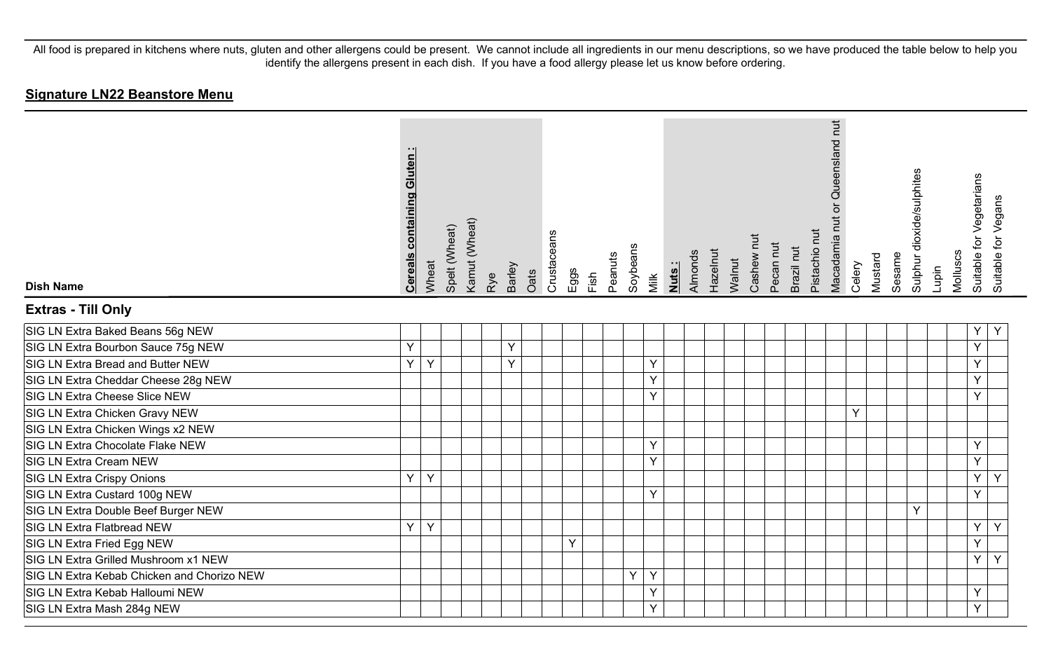| <b>Dish Name</b>                           | <b>Cereals containing Gluten</b> | Wheat | Spelt (Wheat) | Kamut (Wheat) | Rye | Barley | Oats | Crustaceans | Eggs | Fish | Peanuts | Soybeans | Milk | Nuts: | Almonds | Hazelnut | Walnut | Cashew nut | Pecan nut | Brazil nut | Pistachio nut | or Queensland nut<br>Macadamia nut | Celery | Mustard | Sesame | Sulphur dioxide/sulphites | Lupin | Molluscs | Suitable for Vegetarians<br>Suitable for Vegans |  |
|--------------------------------------------|----------------------------------|-------|---------------|---------------|-----|--------|------|-------------|------|------|---------|----------|------|-------|---------|----------|--------|------------|-----------|------------|---------------|------------------------------------|--------|---------|--------|---------------------------|-------|----------|-------------------------------------------------|--|
| <b>Extras - Till Only</b>                  |                                  |       |               |               |     |        |      |             |      |      |         |          |      |       |         |          |        |            |           |            |               |                                    |        |         |        |                           |       |          |                                                 |  |
| SIG LN Extra Baked Beans 56g NEW           |                                  |       |               |               |     |        |      |             |      |      |         |          |      |       |         |          |        |            |           |            |               |                                    |        |         |        |                           |       |          | Y<br>Υ                                          |  |
| SIG LN Extra Bourbon Sauce 75g NEW         | Y                                |       |               |               |     | Y      |      |             |      |      |         |          |      |       |         |          |        |            |           |            |               |                                    |        |         |        |                           |       |          | Ý                                               |  |
| SIG LN Extra Bread and Butter NEW          | Y.                               | Y     |               |               |     | Y      |      |             |      |      |         |          | Y    |       |         |          |        |            |           |            |               |                                    |        |         |        |                           |       |          | Y                                               |  |
| SIG LN Extra Cheddar Cheese 28g NEW        |                                  |       |               |               |     |        |      |             |      |      |         |          | Y    |       |         |          |        |            |           |            |               |                                    |        |         |        |                           |       |          | Y                                               |  |
| SIG LN Extra Cheese Slice NEW              |                                  |       |               |               |     |        |      |             |      |      |         |          | Y    |       |         |          |        |            |           |            |               |                                    |        |         |        |                           |       |          | Y                                               |  |
| SIG LN Extra Chicken Gravy NEW             |                                  |       |               |               |     |        |      |             |      |      |         |          |      |       |         |          |        |            |           |            |               |                                    | Y      |         |        |                           |       |          |                                                 |  |
| SIG LN Extra Chicken Wings x2 NEW          |                                  |       |               |               |     |        |      |             |      |      |         |          |      |       |         |          |        |            |           |            |               |                                    |        |         |        |                           |       |          |                                                 |  |
| SIG LN Extra Chocolate Flake NEW           |                                  |       |               |               |     |        |      |             |      |      |         |          | Y    |       |         |          |        |            |           |            |               |                                    |        |         |        |                           |       |          | Y                                               |  |
| SIG LN Extra Cream NEW                     |                                  |       |               |               |     |        |      |             |      |      |         |          | Y    |       |         |          |        |            |           |            |               |                                    |        |         |        |                           |       |          | Y                                               |  |
| SIG LN Extra Crispy Onions                 | $\mathsf{Y}$                     | Y     |               |               |     |        |      |             |      |      |         |          |      |       |         |          |        |            |           |            |               |                                    |        |         |        |                           |       |          | Y<br>Y                                          |  |
| SIG LN Extra Custard 100g NEW              |                                  |       |               |               |     |        |      |             |      |      |         |          | Y    |       |         |          |        |            |           |            |               |                                    |        |         |        |                           |       |          | Ÿ                                               |  |
| SIG LN Extra Double Beef Burger NEW        |                                  |       |               |               |     |        |      |             |      |      |         |          |      |       |         |          |        |            |           |            |               |                                    |        |         |        | Y                         |       |          |                                                 |  |
| SIG LN Extra Flatbread NEW                 | Y.                               | Y     |               |               |     |        |      |             |      |      |         |          |      |       |         |          |        |            |           |            |               |                                    |        |         |        |                           |       |          | Y<br>Y                                          |  |
| SIG LN Extra Fried Egg NEW                 |                                  |       |               |               |     |        |      |             | Y    |      |         |          |      |       |         |          |        |            |           |            |               |                                    |        |         |        |                           |       |          | Ÿ                                               |  |
| SIG LN Extra Grilled Mushroom x1 NEW       |                                  |       |               |               |     |        |      |             |      |      |         |          |      |       |         |          |        |            |           |            |               |                                    |        |         |        |                           |       |          | Y<br>Y                                          |  |
| SIG LN Extra Kebab Chicken and Chorizo NEW |                                  |       |               |               |     |        |      |             |      |      |         | Y        | Y    |       |         |          |        |            |           |            |               |                                    |        |         |        |                           |       |          |                                                 |  |
| SIG LN Extra Kebab Halloumi NEW            |                                  |       |               |               |     |        |      |             |      |      |         |          | Y    |       |         |          |        |            |           |            |               |                                    |        |         |        |                           |       |          | Y                                               |  |
| SIG LN Extra Mash 284g NEW                 |                                  |       |               |               |     |        |      |             |      |      |         |          | Y    |       |         |          |        |            |           |            |               |                                    |        |         |        |                           |       |          | Y                                               |  |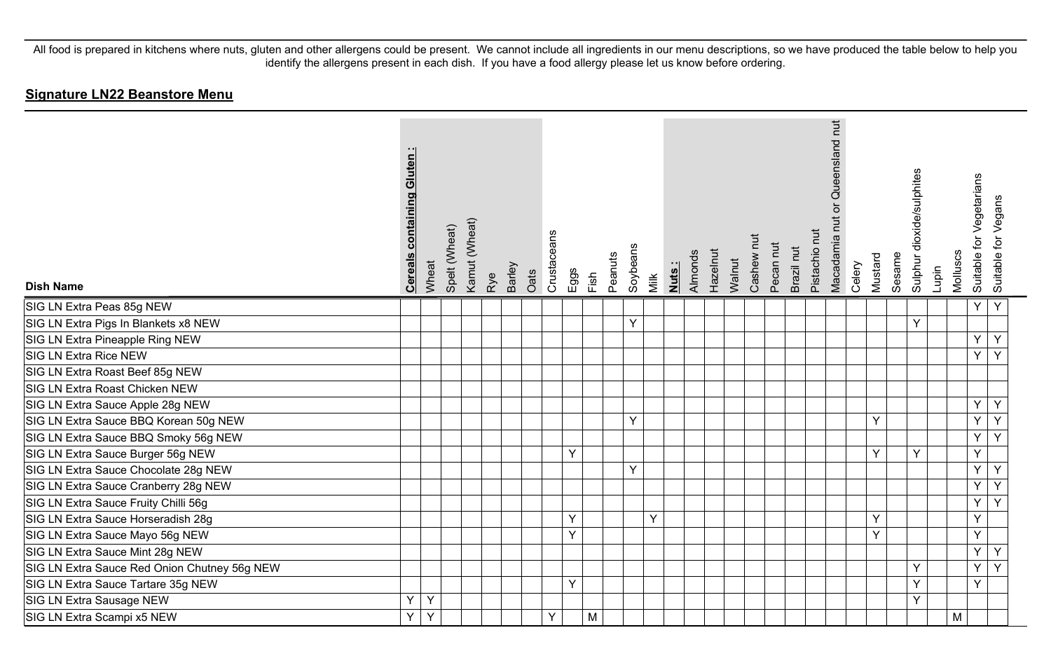| <b>Dish Name</b>                             | containing Gluten<br><b>Cereals</b> | Wheat | Spelt (Wheat) | Kamut (Wheat) | Rye | Barley | Oats | Crustaceans | Eggs | Fish | Peanuts | Soybeans | Nuts:<br>Milk | Almonds | Hazelnut | Walnut | Cashew nut | Pecan nut | Brazil nut | Pistachio nut | Queensland nut<br>ō<br><u>ti</u><br>Macadamia | Celery | Mustard      | Sesame | Sulphur dioxide/sulphites | Lupin | Molluscs | for Vegetarians<br>Suitable | Suitable for Vegans |
|----------------------------------------------|-------------------------------------|-------|---------------|---------------|-----|--------|------|-------------|------|------|---------|----------|---------------|---------|----------|--------|------------|-----------|------------|---------------|-----------------------------------------------|--------|--------------|--------|---------------------------|-------|----------|-----------------------------|---------------------|
| SIG LN Extra Peas 85g NEW                    |                                     |       |               |               |     |        |      |             |      |      |         |          |               |         |          |        |            |           |            |               |                                               |        |              |        |                           |       |          | Y                           | Y                   |
| SIG LN Extra Pigs In Blankets x8 NEW         |                                     |       |               |               |     |        |      |             |      |      |         | Y        |               |         |          |        |            |           |            |               |                                               |        |              |        | Y                         |       |          |                             |                     |
| SIG LN Extra Pineapple Ring NEW              |                                     |       |               |               |     |        |      |             |      |      |         |          |               |         |          |        |            |           |            |               |                                               |        |              |        |                           |       |          | Y                           | Y                   |
| SIG LN Extra Rice NEW                        |                                     |       |               |               |     |        |      |             |      |      |         |          |               |         |          |        |            |           |            |               |                                               |        |              |        |                           |       |          | Y                           | Y                   |
| SIG LN Extra Roast Beef 85g NEW              |                                     |       |               |               |     |        |      |             |      |      |         |          |               |         |          |        |            |           |            |               |                                               |        |              |        |                           |       |          |                             |                     |
| SIG LN Extra Roast Chicken NEW               |                                     |       |               |               |     |        |      |             |      |      |         |          |               |         |          |        |            |           |            |               |                                               |        |              |        |                           |       |          |                             |                     |
| SIG LN Extra Sauce Apple 28g NEW             |                                     |       |               |               |     |        |      |             |      |      |         |          |               |         |          |        |            |           |            |               |                                               |        |              |        |                           |       |          | Y                           | Y                   |
| SIG LN Extra Sauce BBQ Korean 50g NEW        |                                     |       |               |               |     |        |      |             |      |      |         | Y        |               |         |          |        |            |           |            |               |                                               |        | Y            |        |                           |       |          | Y                           | Y                   |
| SIG LN Extra Sauce BBQ Smoky 56g NEW         |                                     |       |               |               |     |        |      |             |      |      |         |          |               |         |          |        |            |           |            |               |                                               |        |              |        |                           |       |          | Y                           | Y                   |
| SIG LN Extra Sauce Burger 56g NEW            |                                     |       |               |               |     |        |      |             | Y    |      |         |          |               |         |          |        |            |           |            |               |                                               |        | Y            |        | Y                         |       |          | Y                           |                     |
| SIG LN Extra Sauce Chocolate 28g NEW         |                                     |       |               |               |     |        |      |             |      |      |         | Y        |               |         |          |        |            |           |            |               |                                               |        |              |        |                           |       |          | Y.                          | Y                   |
| SIG LN Extra Sauce Cranberry 28g NEW         |                                     |       |               |               |     |        |      |             |      |      |         |          |               |         |          |        |            |           |            |               |                                               |        |              |        |                           |       |          | Y                           | Y                   |
| SIG LN Extra Sauce Fruity Chilli 56g         |                                     |       |               |               |     |        |      |             |      |      |         |          |               |         |          |        |            |           |            |               |                                               |        |              |        |                           |       |          | Y                           | Y                   |
| SIG LN Extra Sauce Horseradish 28g           |                                     |       |               |               |     |        |      |             | Υ    |      |         |          | Y             |         |          |        |            |           |            |               |                                               |        | Y            |        |                           |       |          | Y                           |                     |
| SIG LN Extra Sauce Mayo 56g NEW              |                                     |       |               |               |     |        |      |             | Y    |      |         |          |               |         |          |        |            |           |            |               |                                               |        | $\checkmark$ |        |                           |       |          | Y                           |                     |
| SIG LN Extra Sauce Mint 28g NEW              |                                     |       |               |               |     |        |      |             |      |      |         |          |               |         |          |        |            |           |            |               |                                               |        |              |        |                           |       |          | Y                           | Y                   |
| SIG LN Extra Sauce Red Onion Chutney 56g NEW |                                     |       |               |               |     |        |      |             |      |      |         |          |               |         |          |        |            |           |            |               |                                               |        |              |        | Y                         |       |          | Y                           | Y                   |
| SIG LN Extra Sauce Tartare 35g NEW           |                                     |       |               |               |     |        |      |             | Y    |      |         |          |               |         |          |        |            |           |            |               |                                               |        |              |        | Y                         |       |          | Y                           |                     |
| SIG LN Extra Sausage NEW                     | Υ                                   | Y     |               |               |     |        |      |             |      |      |         |          |               |         |          |        |            |           |            |               |                                               |        |              |        | Y                         |       |          |                             |                     |
| SIG LN Extra Scampi x5 NEW                   | Y                                   | Y     |               |               |     |        |      | Y           |      | M    |         |          |               |         |          |        |            |           |            |               |                                               |        |              |        |                           |       | M        |                             |                     |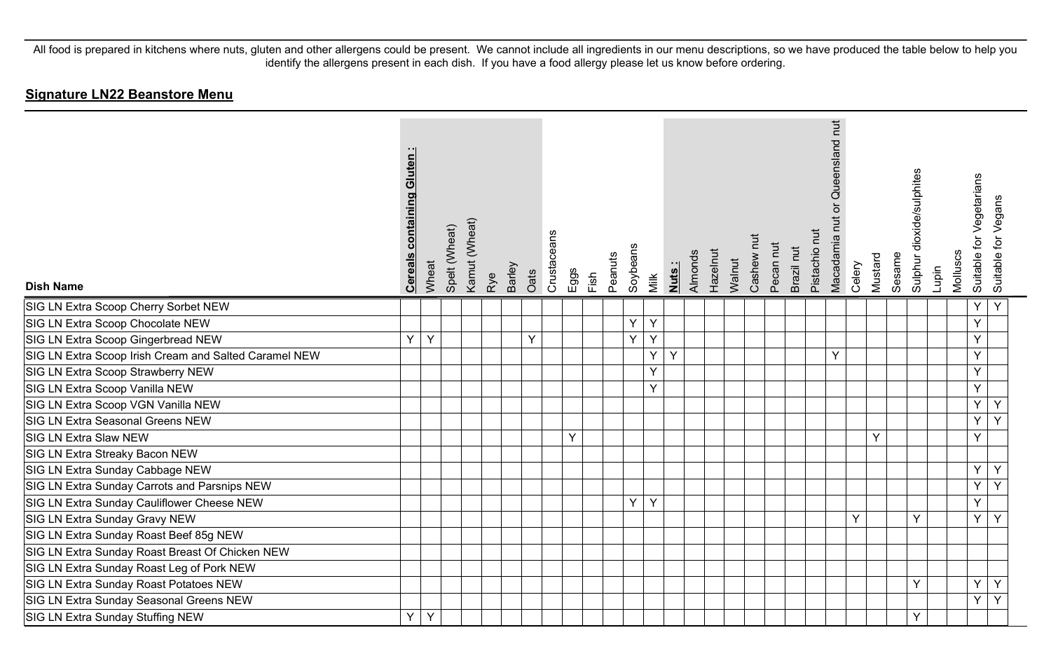| <b>Dish Name</b>                                      | <b>Cereals containing Gluten:</b> | Wheat | Spelt (Wheat) | Kamut (Wheat) | Barley<br>Rye | Oats | Crustaceans | Eggs | Fish | Peanuts | Soybeans | Milk | Nuts: | Almonds | Hazelnut | Walnut | Cashew nut | Pecan nut | Brazil nut | Pistachio nut | or Queensland nut<br>Macadamia nut | Celery | Mustard | Sesame | Sulphur dioxide/sulphites | Lupin | Molluscs | for Vegetarians<br>Suitable 1 | Suitable for Vegans |
|-------------------------------------------------------|-----------------------------------|-------|---------------|---------------|---------------|------|-------------|------|------|---------|----------|------|-------|---------|----------|--------|------------|-----------|------------|---------------|------------------------------------|--------|---------|--------|---------------------------|-------|----------|-------------------------------|---------------------|
| SIG LN Extra Scoop Cherry Sorbet NEW                  |                                   |       |               |               |               |      |             |      |      |         |          |      |       |         |          |        |            |           |            |               |                                    |        |         |        |                           |       |          | Υ                             | Y                   |
| SIG LN Extra Scoop Chocolate NEW                      |                                   |       |               |               |               |      |             |      |      |         | Υ        | Y    |       |         |          |        |            |           |            |               |                                    |        |         |        |                           |       |          | Y                             |                     |
| SIG LN Extra Scoop Gingerbread NEW                    | Y                                 | Y     |               |               |               | Υ    |             |      |      |         | Y        | Y    |       |         |          |        |            |           |            |               |                                    |        |         |        |                           |       |          | Y                             |                     |
| SIG LN Extra Scoop Irish Cream and Salted Caramel NEW |                                   |       |               |               |               |      |             |      |      |         |          | Y.   | Y     |         |          |        |            |           |            |               | Y                                  |        |         |        |                           |       |          | Y                             |                     |
| SIG LN Extra Scoop Strawberry NEW                     |                                   |       |               |               |               |      |             |      |      |         |          | Y    |       |         |          |        |            |           |            |               |                                    |        |         |        |                           |       |          | Y                             |                     |
| SIG LN Extra Scoop Vanilla NEW                        |                                   |       |               |               |               |      |             |      |      |         |          | Y    |       |         |          |        |            |           |            |               |                                    |        |         |        |                           |       |          | Y                             |                     |
| SIG LN Extra Scoop VGN Vanilla NEW                    |                                   |       |               |               |               |      |             |      |      |         |          |      |       |         |          |        |            |           |            |               |                                    |        |         |        |                           |       |          | Y                             | Y                   |
| SIG LN Extra Seasonal Greens NEW                      |                                   |       |               |               |               |      |             |      |      |         |          |      |       |         |          |        |            |           |            |               |                                    |        |         |        |                           |       |          | Y                             | Y                   |
| SIG LN Extra Slaw NEW                                 |                                   |       |               |               |               |      |             | Y    |      |         |          |      |       |         |          |        |            |           |            |               |                                    |        | Y       |        |                           |       |          | Y                             |                     |
| SIG LN Extra Streaky Bacon NEW                        |                                   |       |               |               |               |      |             |      |      |         |          |      |       |         |          |        |            |           |            |               |                                    |        |         |        |                           |       |          |                               |                     |
| SIG LN Extra Sunday Cabbage NEW                       |                                   |       |               |               |               |      |             |      |      |         |          |      |       |         |          |        |            |           |            |               |                                    |        |         |        |                           |       |          | Y                             | Y                   |
| SIG LN Extra Sunday Carrots and Parsnips NEW          |                                   |       |               |               |               |      |             |      |      |         |          |      |       |         |          |        |            |           |            |               |                                    |        |         |        |                           |       |          | Y                             | Y                   |
| SIG LN Extra Sunday Cauliflower Cheese NEW            |                                   |       |               |               |               |      |             |      |      |         | Y        | Y    |       |         |          |        |            |           |            |               |                                    |        |         |        |                           |       |          | Υ                             |                     |
| SIG LN Extra Sunday Gravy NEW                         |                                   |       |               |               |               |      |             |      |      |         |          |      |       |         |          |        |            |           |            |               |                                    | Y      |         |        | Y                         |       |          | Y                             | Y                   |
| SIG LN Extra Sunday Roast Beef 85g NEW                |                                   |       |               |               |               |      |             |      |      |         |          |      |       |         |          |        |            |           |            |               |                                    |        |         |        |                           |       |          |                               |                     |
| SIG LN Extra Sunday Roast Breast Of Chicken NEW       |                                   |       |               |               |               |      |             |      |      |         |          |      |       |         |          |        |            |           |            |               |                                    |        |         |        |                           |       |          |                               |                     |
| SIG LN Extra Sunday Roast Leg of Pork NEW             |                                   |       |               |               |               |      |             |      |      |         |          |      |       |         |          |        |            |           |            |               |                                    |        |         |        |                           |       |          |                               |                     |
| SIG LN Extra Sunday Roast Potatoes NEW                |                                   |       |               |               |               |      |             |      |      |         |          |      |       |         |          |        |            |           |            |               |                                    |        |         |        | $\mathsf{Y}$              |       |          | Y                             | Y                   |
| SIG LN Extra Sunday Seasonal Greens NEW               |                                   |       |               |               |               |      |             |      |      |         |          |      |       |         |          |        |            |           |            |               |                                    |        |         |        |                           |       |          | Y                             | Y                   |
| SIG LN Extra Sunday Stuffing NEW                      | Y                                 | Y     |               |               |               |      |             |      |      |         |          |      |       |         |          |        |            |           |            |               |                                    |        |         |        | Y                         |       |          |                               |                     |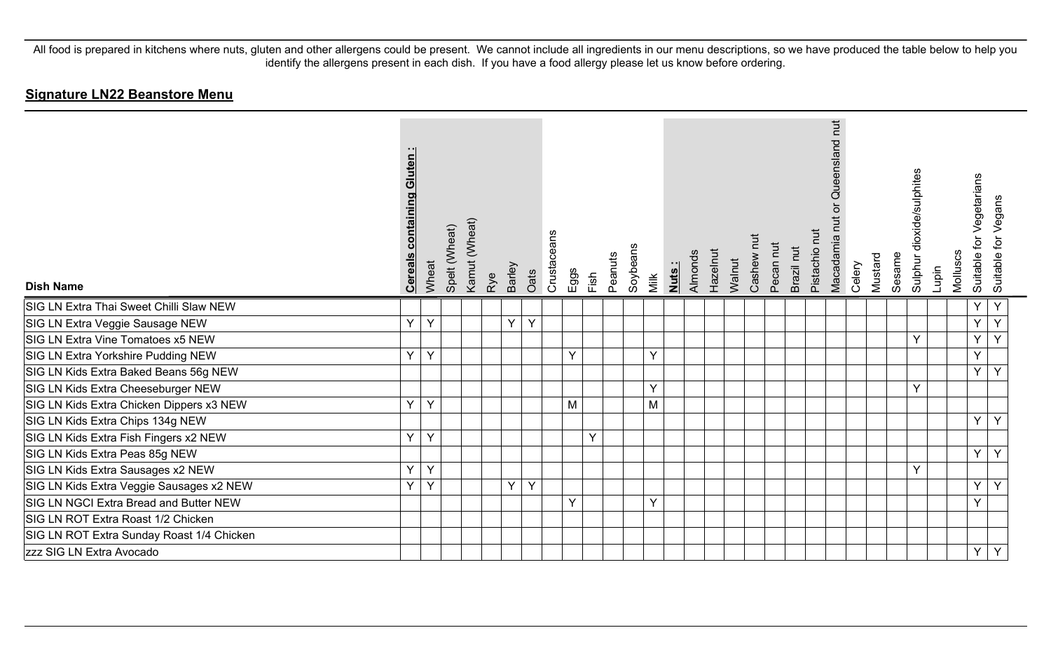| <b>Dish Name</b>                          | <b>Cereals containing Gluten:</b> | Wheat | Spelt (Wheat) | Kamut (Wheat) | Rye | Barley | Oats | Crustaceans | Eggs | Fish | Peanuts | Soybeans | Milk | Nuts: | Almonds | Hazelnut | Walnut | Cashew nut | Pecan nut | Brazil nut | Pistachio nut | nut<br>Queensland<br>ō<br>Macadamia nut | Celery | Mustard | Sesame | Sulphur dioxide/sulphites | Lupin | Molluscs | for Vegetarians<br>Suitable | Suitable for Vegans |
|-------------------------------------------|-----------------------------------|-------|---------------|---------------|-----|--------|------|-------------|------|------|---------|----------|------|-------|---------|----------|--------|------------|-----------|------------|---------------|-----------------------------------------|--------|---------|--------|---------------------------|-------|----------|-----------------------------|---------------------|
| SIG LN Extra Thai Sweet Chilli Slaw NEW   |                                   |       |               |               |     |        |      |             |      |      |         |          |      |       |         |          |        |            |           |            |               |                                         |        |         |        |                           |       |          | Y                           | Y                   |
| SIG LN Extra Veggie Sausage NEW           | Y                                 | Y     |               |               |     | Y      | Y    |             |      |      |         |          |      |       |         |          |        |            |           |            |               |                                         |        |         |        |                           |       |          | Υ                           | Y                   |
| SIG LN Extra Vine Tomatoes x5 NEW         |                                   |       |               |               |     |        |      |             |      |      |         |          |      |       |         |          |        |            |           |            |               |                                         |        |         |        | Y                         |       |          | Y                           | Y                   |
| SIG LN Extra Yorkshire Pudding NEW        | Y                                 | Y     |               |               |     |        |      |             | Y    |      |         |          | Y    |       |         |          |        |            |           |            |               |                                         |        |         |        |                           |       |          | Y                           |                     |
| SIG LN Kids Extra Baked Beans 56g NEW     |                                   |       |               |               |     |        |      |             |      |      |         |          |      |       |         |          |        |            |           |            |               |                                         |        |         |        |                           |       |          | Y                           | Y                   |
| SIG LN Kids Extra Cheeseburger NEW        |                                   |       |               |               |     |        |      |             |      |      |         |          | Y    |       |         |          |        |            |           |            |               |                                         |        |         |        | Y                         |       |          |                             |                     |
| SIG LN Kids Extra Chicken Dippers x3 NEW  | Y                                 | Y     |               |               |     |        |      |             | M    |      |         |          | M    |       |         |          |        |            |           |            |               |                                         |        |         |        |                           |       |          |                             |                     |
| SIG LN Kids Extra Chips 134g NEW          |                                   |       |               |               |     |        |      |             |      |      |         |          |      |       |         |          |        |            |           |            |               |                                         |        |         |        |                           |       |          | Y                           | Y                   |
| SIG LN Kids Extra Fish Fingers x2 NEW     | Y                                 | Y     |               |               |     |        |      |             |      | Y    |         |          |      |       |         |          |        |            |           |            |               |                                         |        |         |        |                           |       |          |                             |                     |
| SIG LN Kids Extra Peas 85g NEW            |                                   |       |               |               |     |        |      |             |      |      |         |          |      |       |         |          |        |            |           |            |               |                                         |        |         |        |                           |       |          | Y                           | Y                   |
| SIG LN Kids Extra Sausages x2 NEW         | Y                                 | Y     |               |               |     |        |      |             |      |      |         |          |      |       |         |          |        |            |           |            |               |                                         |        |         |        | Y                         |       |          |                             |                     |
| SIG LN Kids Extra Veggie Sausages x2 NEW  | Y                                 | Y     |               |               |     | Y      | Y    |             |      |      |         |          |      |       |         |          |        |            |           |            |               |                                         |        |         |        |                           |       |          | Y                           | Y                   |
| SIG LN NGCI Extra Bread and Butter NEW    |                                   |       |               |               |     |        |      |             | Y.   |      |         |          | Y    |       |         |          |        |            |           |            |               |                                         |        |         |        |                           |       |          | Y                           |                     |
| SIG LN ROT Extra Roast 1/2 Chicken        |                                   |       |               |               |     |        |      |             |      |      |         |          |      |       |         |          |        |            |           |            |               |                                         |        |         |        |                           |       |          |                             |                     |
| SIG LN ROT Extra Sunday Roast 1/4 Chicken |                                   |       |               |               |     |        |      |             |      |      |         |          |      |       |         |          |        |            |           |            |               |                                         |        |         |        |                           |       |          |                             |                     |
| zzz SIG LN Extra Avocado                  |                                   |       |               |               |     |        |      |             |      |      |         |          |      |       |         |          |        |            |           |            |               |                                         |        |         |        |                           |       |          | Y                           | Y                   |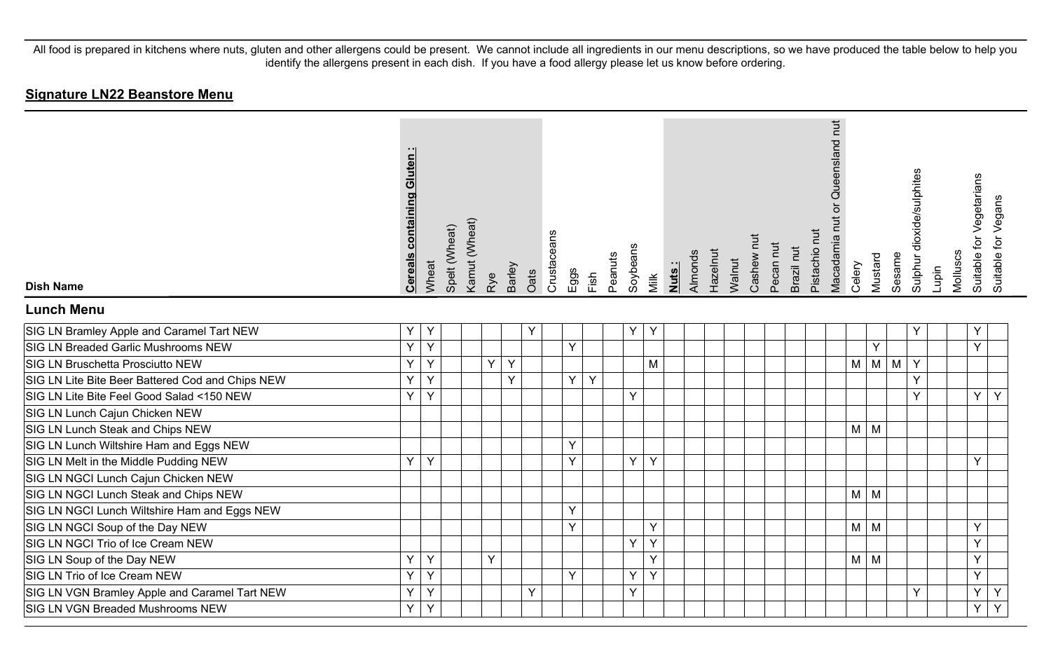| <b>Dish Name</b>                                 | <b>Cereals containing Gluten:</b> | Wheat | Spelt (Wheat) | Kamut (Wheat) | Rye | Barley | Oats | Crustaceans | Eggs | Fish | Peanuts | Soybeans | Milk | Nuts: | Almonds | Hazelnut | Walnut | Cashew nut | Pecan nut | Brazil nut | Pistachio nut | Queensland nut<br>ð<br>Macadamia nut | Celery     | Mustard    | Sesame | Sulphur dioxide/sulphites | Lupin | Molluscs | Suitable for Vegetarians<br>Suitable for Vegans |  |
|--------------------------------------------------|-----------------------------------|-------|---------------|---------------|-----|--------|------|-------------|------|------|---------|----------|------|-------|---------|----------|--------|------------|-----------|------------|---------------|--------------------------------------|------------|------------|--------|---------------------------|-------|----------|-------------------------------------------------|--|
| <b>Lunch Menu</b>                                |                                   |       |               |               |     |        |      |             |      |      |         |          |      |       |         |          |        |            |           |            |               |                                      |            |            |        |                           |       |          |                                                 |  |
| SIG LN Bramley Apple and Caramel Tart NEW        | Y                                 | Y     |               |               |     |        | Y    |             |      |      |         | Υ        | Y    |       |         |          |        |            |           |            |               |                                      |            |            |        | Y                         |       |          | Y                                               |  |
| SIG LN Breaded Garlic Mushrooms NEW              | Y                                 | Y     |               |               |     |        |      |             | Y    |      |         |          |      |       |         |          |        |            |           |            |               |                                      |            | Y          |        |                           |       |          | Y                                               |  |
| SIG LN Bruschetta Prosciutto NEW                 | Ÿ                                 | Y     |               |               | Y   | Y      |      |             |      |      |         |          | M    |       |         |          |        |            |           |            |               |                                      | M          | $M \mid M$ |        | Y                         |       |          |                                                 |  |
| SIG LN Lite Bite Beer Battered Cod and Chips NEW | Y                                 | Y     |               |               |     | Y      |      |             | Y    | Y    |         |          |      |       |         |          |        |            |           |            |               |                                      |            |            |        | Y                         |       |          |                                                 |  |
| SIG LN Lite Bite Feel Good Salad <150 NEW        | Y                                 | Y     |               |               |     |        |      |             |      |      |         | Y        |      |       |         |          |        |            |           |            |               |                                      |            |            |        | Y                         |       |          | Y.<br>Y                                         |  |
| SIG LN Lunch Cajun Chicken NEW                   |                                   |       |               |               |     |        |      |             |      |      |         |          |      |       |         |          |        |            |           |            |               |                                      |            |            |        |                           |       |          |                                                 |  |
| SIG LN Lunch Steak and Chips NEW                 |                                   |       |               |               |     |        |      |             |      |      |         |          |      |       |         |          |        |            |           |            |               |                                      | $M \mid M$ |            |        |                           |       |          |                                                 |  |
| SIG LN Lunch Wiltshire Ham and Eggs NEW          |                                   |       |               |               |     |        |      |             | Y    |      |         |          |      |       |         |          |        |            |           |            |               |                                      |            |            |        |                           |       |          |                                                 |  |
| SIG LN Melt in the Middle Pudding NEW            | Y                                 | Y     |               |               |     |        |      |             | Y    |      |         | Y        | Y    |       |         |          |        |            |           |            |               |                                      |            |            |        |                           |       |          | Y                                               |  |
| SIG LN NGCI Lunch Cajun Chicken NEW              |                                   |       |               |               |     |        |      |             |      |      |         |          |      |       |         |          |        |            |           |            |               |                                      |            |            |        |                           |       |          |                                                 |  |
| SIG LN NGCI Lunch Steak and Chips NEW            |                                   |       |               |               |     |        |      |             |      |      |         |          |      |       |         |          |        |            |           |            |               |                                      | $M \mid M$ |            |        |                           |       |          |                                                 |  |
| SIG LN NGCI Lunch Wiltshire Ham and Eggs NEW     |                                   |       |               |               |     |        |      |             | Y    |      |         |          |      |       |         |          |        |            |           |            |               |                                      |            |            |        |                           |       |          |                                                 |  |
| SIG LN NGCI Soup of the Day NEW                  |                                   |       |               |               |     |        |      |             | Y    |      |         |          | Y    |       |         |          |        |            |           |            |               |                                      | $M \mid M$ |            |        |                           |       |          | Y                                               |  |
| SIG LN NGCI Trio of Ice Cream NEW                |                                   |       |               |               |     |        |      |             |      |      |         | Y        | Y    |       |         |          |        |            |           |            |               |                                      |            |            |        |                           |       |          | Y                                               |  |
| SIG LN Soup of the Day NEW                       | Ÿ                                 | Y     |               |               | Y   |        |      |             |      |      |         |          | Y    |       |         |          |        |            |           |            |               |                                      | $M \mid M$ |            |        |                           |       |          | Y                                               |  |
| SIG LN Trio of Ice Cream NEW                     | Y                                 | Y     |               |               |     |        |      |             | Y    |      |         | Y        | Y    |       |         |          |        |            |           |            |               |                                      |            |            |        |                           |       |          | Y                                               |  |
| SIG LN VGN Bramley Apple and Caramel Tart NEW    | Y                                 | Y     |               |               |     |        | Y    |             |      |      |         | Y        |      |       |         |          |        |            |           |            |               |                                      |            |            |        | Y                         |       |          | Y<br>Y                                          |  |
| SIG LN VGN Breaded Mushrooms NEW                 | Y                                 | Υ     |               |               |     |        |      |             |      |      |         |          |      |       |         |          |        |            |           |            |               |                                      |            |            |        |                           |       |          | $\overline{Y}$<br>$\overline{Y}$                |  |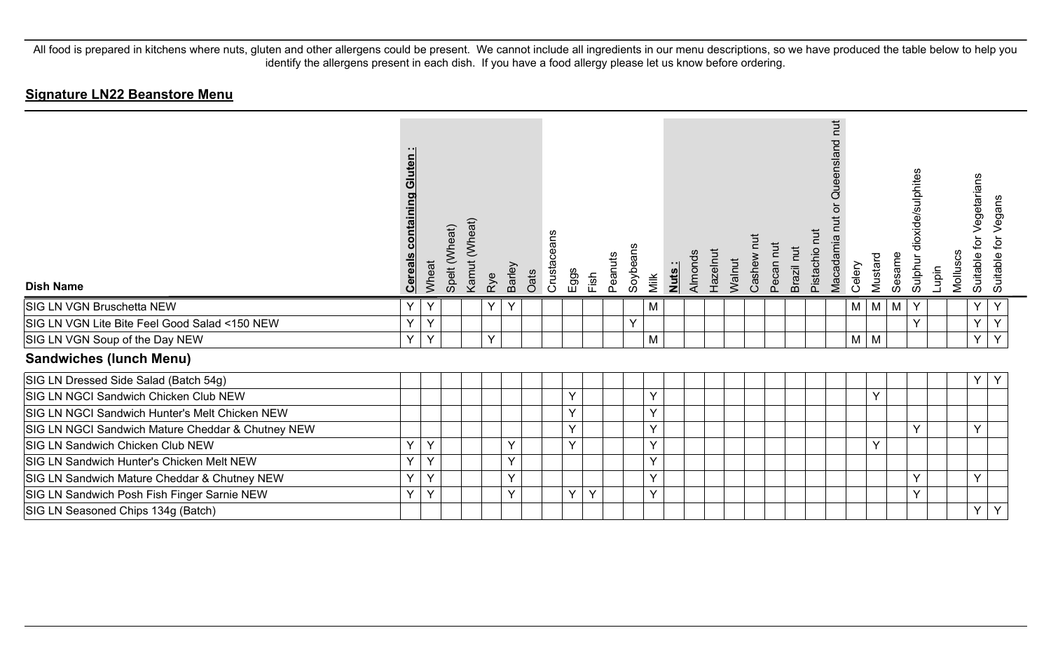| <b>Dish Name</b>                                  | uten<br>Σū<br><u>containi</u><br><u>Cereal</u> | Wheat | Spelt (Wheat) | Kamut (Wheat) | Rye | Barley | Oats | Crustaceans | Eggs | Fish | Peanuts | Soybeans | Milk | Nuts: | Hazelnut<br>Almonds | Walnut | Cashew nut | Pecan nut | Brazil nut | <b>TUT</b><br>Pistachio | hut<br>eensland<br>ā<br>Macadamia | Celery | Mustard | Sesame | dioxide/sulphites<br>Sulphur | Lupin | Molluscs | for Vegetarians<br>Suitable | Suitable for Vegans |
|---------------------------------------------------|------------------------------------------------|-------|---------------|---------------|-----|--------|------|-------------|------|------|---------|----------|------|-------|---------------------|--------|------------|-----------|------------|-------------------------|-----------------------------------|--------|---------|--------|------------------------------|-------|----------|-----------------------------|---------------------|
| SIG LN VGN Bruschetta NEW                         | Y                                              | Y     |               |               | Y   | Y      |      |             |      |      |         |          | M    |       |                     |        |            |           |            |                         |                                   | M      | M       | M      | Y                            |       |          | Y                           | Y                   |
| SIG LN VGN Lite Bite Feel Good Salad <150 NEW     | $\vee$                                         | Y     |               |               |     |        |      |             |      |      |         | Y        |      |       |                     |        |            |           |            |                         |                                   |        |         |        | Y                            |       |          | Y                           | Y                   |
| SIG LN VGN Soup of the Day NEW                    | Y                                              | Y     |               |               | Y   |        |      |             |      |      |         |          | M    |       |                     |        |            |           |            |                         |                                   | M      | M       |        |                              |       |          | Y                           | Y                   |
| <b>Sandwiches (lunch Menu)</b>                    |                                                |       |               |               |     |        |      |             |      |      |         |          |      |       |                     |        |            |           |            |                         |                                   |        |         |        |                              |       |          |                             |                     |
| SIG LN Dressed Side Salad (Batch 54g)             |                                                |       |               |               |     |        |      |             |      |      |         |          |      |       |                     |        |            |           |            |                         |                                   |        |         |        |                              |       |          | Υ                           | Y                   |
| SIG LN NGCI Sandwich Chicken Club NEW             |                                                |       |               |               |     |        |      |             | Y    |      |         |          | Y    |       |                     |        |            |           |            |                         |                                   |        | Y       |        |                              |       |          |                             |                     |
| SIG LN NGCI Sandwich Hunter's Melt Chicken NEW    |                                                |       |               |               |     |        |      |             | Y    |      |         |          | Y    |       |                     |        |            |           |            |                         |                                   |        |         |        |                              |       |          |                             |                     |
| SIG LN NGCI Sandwich Mature Cheddar & Chutney NEW |                                                |       |               |               |     |        |      |             | Y    |      |         |          | Y    |       |                     |        |            |           |            |                         |                                   |        |         |        | Y                            |       |          | $\checkmark$                |                     |
| SIG LN Sandwich Chicken Club NEW                  | $\vee$                                         | Y     |               |               |     | Y      |      |             | Y    |      |         |          | Y    |       |                     |        |            |           |            |                         |                                   |        | Y       |        |                              |       |          |                             |                     |
| SIG LN Sandwich Hunter's Chicken Melt NEW         | $\vee$                                         | Y     |               |               |     | Y      |      |             |      |      |         |          | Y    |       |                     |        |            |           |            |                         |                                   |        |         |        |                              |       |          |                             |                     |
| SIG LN Sandwich Mature Cheddar & Chutney NEW      | $\vee$                                         | Y     |               |               |     | Y      |      |             |      |      |         |          | Y    |       |                     |        |            |           |            |                         |                                   |        |         |        | Y                            |       |          | $\checkmark$                |                     |
| SIG LN Sandwich Posh Fish Finger Sarnie NEW       | $\vee$                                         | Y     |               |               |     | Y      |      |             | Y    | Y    |         |          | Y    |       |                     |        |            |           |            |                         |                                   |        |         |        | Y                            |       |          |                             |                     |
| SIG LN Seasoned Chips 134g (Batch)                |                                                |       |               |               |     |        |      |             |      |      |         |          |      |       |                     |        |            |           |            |                         |                                   |        |         |        |                              |       |          | Y                           | Y                   |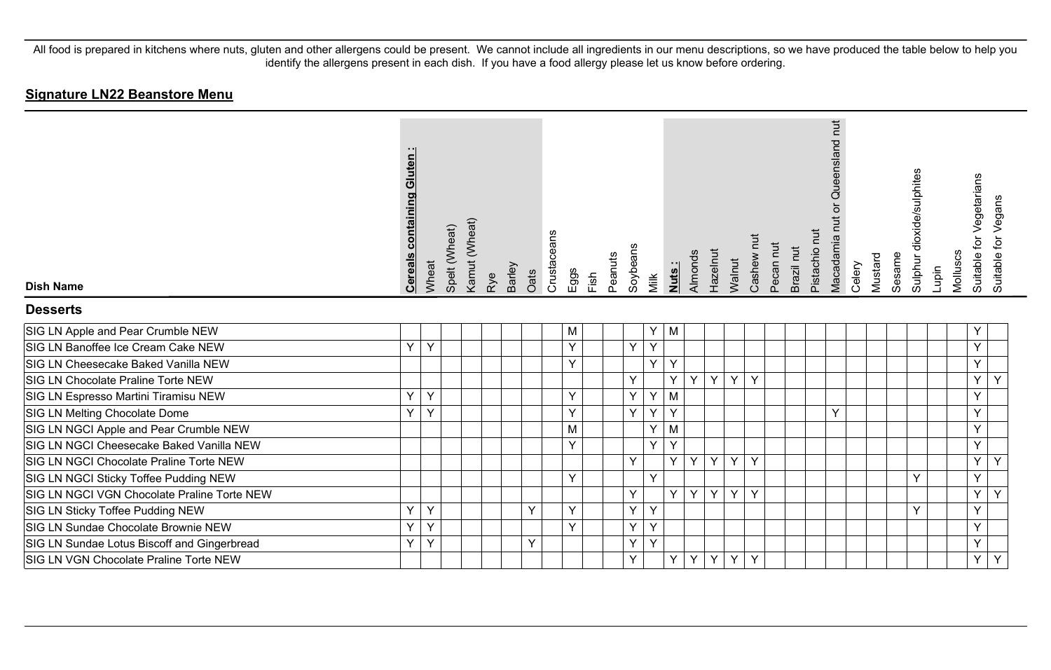| <b>Dish Name</b>                            | <b>Cereals containing Gluten:</b> | Wheat | Spelt (Wheat) | Kamut (Wheat) | Rye | Barley | Oats | Crustaceans | Eggs<br>Fish | Peanuts | Soybeans | Milk | <u>Nuts</u> | Almonds        | Hazelnut       | Walnut         | Cashew nut | Pecan nut | Brazil nut | Pistachio nut | Queensland nut<br>Macadamia nut | Celery | Mustard | Sesame | Sulphur dioxide/sulphites | Lupin | Molluscs | Suitable for Vegetarians<br>Suitable for Vegans |
|---------------------------------------------|-----------------------------------|-------|---------------|---------------|-----|--------|------|-------------|--------------|---------|----------|------|-------------|----------------|----------------|----------------|------------|-----------|------------|---------------|---------------------------------|--------|---------|--------|---------------------------|-------|----------|-------------------------------------------------|
| <b>Desserts</b>                             |                                   |       |               |               |     |        |      |             |              |         |          |      |             |                |                |                |            |           |            |               |                                 |        |         |        |                           |       |          |                                                 |
| SIG LN Apple and Pear Crumble NEW           |                                   |       |               |               |     |        |      |             | M            |         |          | Y    | M           |                |                |                |            |           |            |               |                                 |        |         |        |                           |       |          | Y                                               |
| SIG LN Banoffee Ice Cream Cake NEW          | Y                                 | Y     |               |               |     |        |      |             | Y            |         | Y        | Y    |             |                |                |                |            |           |            |               |                                 |        |         |        |                           |       |          | Y                                               |
| SIG LN Cheesecake Baked Vanilla NEW         |                                   |       |               |               |     |        |      |             | Y            |         |          | Y    | Y           |                |                |                |            |           |            |               |                                 |        |         |        |                           |       |          | Y                                               |
| SIG LN Chocolate Praline Torte NEW          |                                   |       |               |               |     |        |      |             |              |         | Y        |      | Y           | Y              | Y              | Y              | Y          |           |            |               |                                 |        |         |        |                           |       |          | Y<br>Y                                          |
| SIG LN Espresso Martini Tiramisu NEW        | Y                                 | Y     |               |               |     |        |      |             | Y            |         | Y        | Y    | M           |                |                |                |            |           |            |               |                                 |        |         |        |                           |       |          | Y                                               |
| SIG LN Melting Chocolate Dome               | Y                                 | Y     |               |               |     |        |      |             | Y            |         | Y        | Y    | Y           |                |                |                |            |           |            |               | Y                               |        |         |        |                           |       |          | Ÿ                                               |
| SIG LN NGCI Apple and Pear Crumble NEW      |                                   |       |               |               |     |        |      |             | M            |         |          | Y    | M           |                |                |                |            |           |            |               |                                 |        |         |        |                           |       |          | Y                                               |
| SIG LN NGCI Cheesecake Baked Vanilla NEW    |                                   |       |               |               |     |        |      |             | Y            |         |          | Y    | Y           |                |                |                |            |           |            |               |                                 |        |         |        |                           |       |          | Y                                               |
| SIG LN NGCI Chocolate Praline Torte NEW     |                                   |       |               |               |     |        |      |             |              |         | Y        |      | Y           | Y              | Y              | Y              | Y          |           |            |               |                                 |        |         |        |                           |       |          | Y<br>Υ                                          |
| SIG LN NGCI Sticky Toffee Pudding NEW       |                                   |       |               |               |     |        |      |             | Y            |         |          | Y    |             |                |                |                |            |           |            |               |                                 |        |         |        | Y                         |       |          | Y                                               |
| SIG LN NGCI VGN Chocolate Praline Torte NEW |                                   |       |               |               |     |        |      |             |              |         | Y        |      | Y.          | Y              | Y              | Y              | Y          |           |            |               |                                 |        |         |        |                           |       |          | Y<br>Y                                          |
| SIG LN Sticky Toffee Pudding NEW            | Y                                 | Y     |               |               |     |        | Y    |             | Y            |         | Y        | Y    |             |                |                |                |            |           |            |               |                                 |        |         |        | Y                         |       |          | Y                                               |
| SIG LN Sundae Chocolate Brownie NEW         | Y                                 | Y     |               |               |     |        |      |             | Y            |         | Y        | Y    |             |                |                |                |            |           |            |               |                                 |        |         |        |                           |       |          | Y                                               |
| SIG LN Sundae Lotus Biscoff and Gingerbread | Y                                 | Y     |               |               |     |        | Y    |             |              |         | Y        | Y    |             |                |                |                |            |           |            |               |                                 |        |         |        |                           |       |          | Y                                               |
| SIG LN VGN Chocolate Praline Torte NEW      |                                   |       |               |               |     |        |      |             |              |         | Y        |      | Y           | $\overline{Y}$ | $\overline{Y}$ | $\overline{Y}$ | Y          |           |            |               |                                 |        |         |        |                           |       |          | Y<br>Y                                          |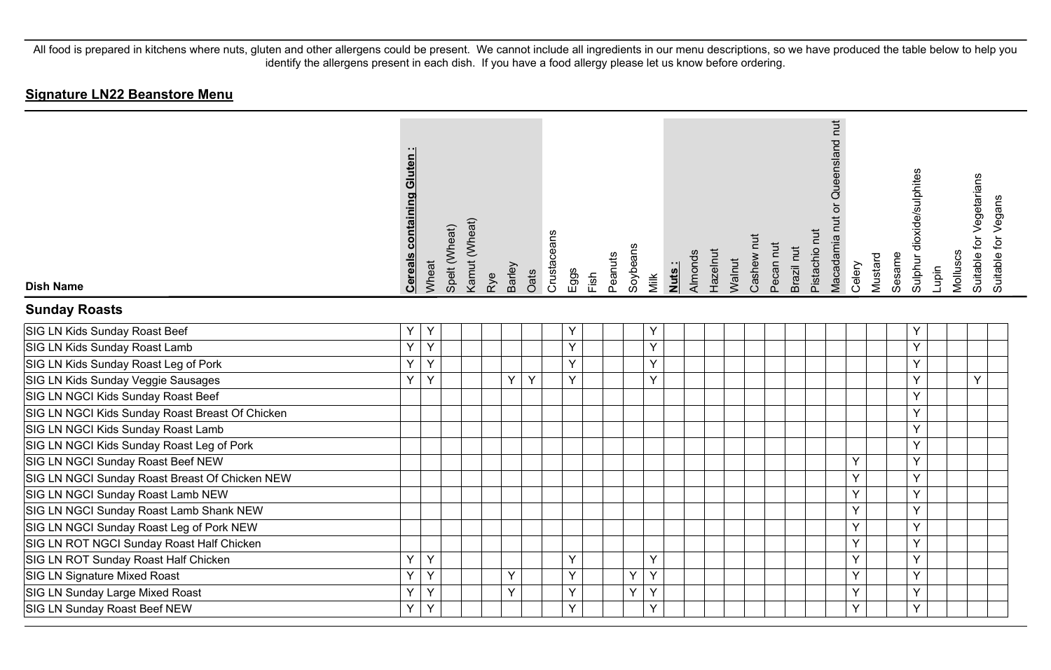| <b>Dish Name</b>                                | <b>Cereals containing Gluten:</b> | Wheat | Spelt (Wheat) | Kamut (Wheat) | Rye | Barley | Oats | Crustaceans | Eggs | Fish | Peanuts | Soybeans | Milk | Nuts: | Almonds | Hazelnut | Walnut | Cashew nut | Pecan nut | Brazil nut | Pistachio nut | Macadamia nut or Queensland nut | Celery | Mustard | Sesame | Sulphur dioxide/sulphites | Lupin | Molluscs | Suitable for Vegetarians | Suitable for Vegans |
|-------------------------------------------------|-----------------------------------|-------|---------------|---------------|-----|--------|------|-------------|------|------|---------|----------|------|-------|---------|----------|--------|------------|-----------|------------|---------------|---------------------------------|--------|---------|--------|---------------------------|-------|----------|--------------------------|---------------------|
| <b>Sunday Roasts</b>                            |                                   |       |               |               |     |        |      |             |      |      |         |          |      |       |         |          |        |            |           |            |               |                                 |        |         |        |                           |       |          |                          |                     |
| SIG LN Kids Sunday Roast Beef                   | Υ                                 | Y     |               |               |     |        |      |             | Υ    |      |         |          | Y    |       |         |          |        |            |           |            |               |                                 |        |         |        | Υ                         |       |          |                          |                     |
| SIG LN Kids Sunday Roast Lamb                   | $\overline{Y}$                    | Ÿ     |               |               |     |        |      |             | Y    |      |         |          | Y    |       |         |          |        |            |           |            |               |                                 |        |         |        | Y                         |       |          |                          |                     |
| SIG LN Kids Sunday Roast Leg of Pork            | Ý                                 | Y     |               |               |     |        |      |             | Y    |      |         |          | Y    |       |         |          |        |            |           |            |               |                                 |        |         |        | Y                         |       |          |                          |                     |
| SIG LN Kids Sunday Veggie Sausages              | Υ                                 | Y     |               |               |     | Υ      | Y    |             | Y    |      |         |          | Y    |       |         |          |        |            |           |            |               |                                 |        |         |        | Y                         |       |          | Y                        |                     |
| SIG LN NGCI Kids Sunday Roast Beef              |                                   |       |               |               |     |        |      |             |      |      |         |          |      |       |         |          |        |            |           |            |               |                                 |        |         |        | Y                         |       |          |                          |                     |
| SIG LN NGCI Kids Sunday Roast Breast Of Chicken |                                   |       |               |               |     |        |      |             |      |      |         |          |      |       |         |          |        |            |           |            |               |                                 |        |         |        | Υ                         |       |          |                          |                     |
| SIG LN NGCI Kids Sunday Roast Lamb              |                                   |       |               |               |     |        |      |             |      |      |         |          |      |       |         |          |        |            |           |            |               |                                 |        |         |        | Υ                         |       |          |                          |                     |
| SIG LN NGCI Kids Sunday Roast Leg of Pork       |                                   |       |               |               |     |        |      |             |      |      |         |          |      |       |         |          |        |            |           |            |               |                                 |        |         |        | Y                         |       |          |                          |                     |
| SIG LN NGCI Sunday Roast Beef NEW               |                                   |       |               |               |     |        |      |             |      |      |         |          |      |       |         |          |        |            |           |            |               |                                 | Y      |         |        | Y                         |       |          |                          |                     |
| SIG LN NGCI Sunday Roast Breast Of Chicken NEW  |                                   |       |               |               |     |        |      |             |      |      |         |          |      |       |         |          |        |            |           |            |               |                                 | Y      |         |        | Y                         |       |          |                          |                     |
| SIG LN NGCI Sunday Roast Lamb NEW               |                                   |       |               |               |     |        |      |             |      |      |         |          |      |       |         |          |        |            |           |            |               |                                 | Y      |         |        | Y                         |       |          |                          |                     |
| SIG LN NGCI Sunday Roast Lamb Shank NEW         |                                   |       |               |               |     |        |      |             |      |      |         |          |      |       |         |          |        |            |           |            |               |                                 | Y      |         |        | Y                         |       |          |                          |                     |
| SIG LN NGCI Sunday Roast Leg of Pork NEW        |                                   |       |               |               |     |        |      |             |      |      |         |          |      |       |         |          |        |            |           |            |               |                                 | Y      |         |        | Y                         |       |          |                          |                     |
| SIG LN ROT NGCI Sunday Roast Half Chicken       |                                   |       |               |               |     |        |      |             |      |      |         |          |      |       |         |          |        |            |           |            |               |                                 | Y      |         |        | Y                         |       |          |                          |                     |
| SIG LN ROT Sunday Roast Half Chicken            | Y                                 | Y     |               |               |     |        |      |             | Y    |      |         |          | Y    |       |         |          |        |            |           |            |               |                                 | Y      |         |        | Y                         |       |          |                          |                     |
| SIG LN Signature Mixed Roast                    | Y                                 | Y     |               |               |     | Y      |      |             | Y    |      |         | Y        | Y    |       |         |          |        |            |           |            |               |                                 | Y      |         |        | Y                         |       |          |                          |                     |
| SIG LN Sunday Large Mixed Roast                 | Y                                 | Y     |               |               |     | Y      |      |             | Y    |      |         | Y        | Y    |       |         |          |        |            |           |            |               |                                 | Y      |         |        | Y                         |       |          |                          |                     |
| SIG LN Sunday Roast Beef NEW                    | Y                                 | Y     |               |               |     |        |      |             | Y    |      |         |          | Y    |       |         |          |        |            |           |            |               |                                 | Y      |         |        | Y                         |       |          |                          |                     |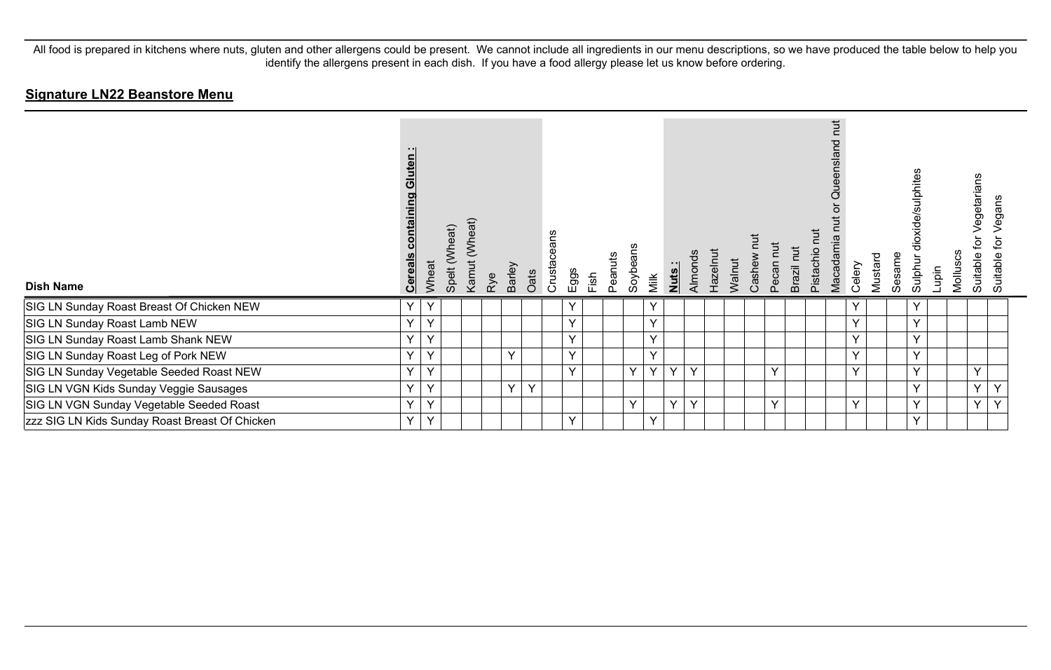| <b>Dish Name</b>                               | uten<br>ō<br><u>contair</u><br><b>Cereals</b> | Wheat        | Spelt (Wheat) | (Wheat)<br>Kamut | Rye | Barley<br>Oats | Crustaceans | $E$ ggs | Fish | Peanuts | Soybeans | Milk         | Nuts:        | Almonds      | Hazelnut | Walnut | īut<br>Cashew | Pecan nut | Brazil nut | <b>TUT</b><br>Pistachio | <b>Tut</b><br>Queensland<br>Macadamia | Celery       | Mustard | Sesame | dioxide/sulphites<br>Sulphur | Lupin | Molluscs | egetarians<br>ğ<br>Suitable | egans<br>⊋<br>Suitable |  |
|------------------------------------------------|-----------------------------------------------|--------------|---------------|------------------|-----|----------------|-------------|---------|------|---------|----------|--------------|--------------|--------------|----------|--------|---------------|-----------|------------|-------------------------|---------------------------------------|--------------|---------|--------|------------------------------|-------|----------|-----------------------------|------------------------|--|
| SIG LN Sunday Roast Breast Of Chicken NEW      | Y                                             | $\mathsf{Y}$ |               |                  |     |                |             | Y       |      |         |          | $\checkmark$ |              |              |          |        |               |           |            |                         |                                       | Y            |         |        | Y                            |       |          |                             |                        |  |
| SIG LN Sunday Roast Lamb NEW                   | Y                                             | Y            |               |                  |     |                |             | Y       |      |         |          | $\checkmark$ |              |              |          |        |               |           |            |                         |                                       | $\vee$       |         |        | $\checkmark$                 |       |          |                             |                        |  |
| SIG LN Sunday Roast Lamb Shank NEW             | Y                                             | Y            |               |                  |     |                |             | Y       |      |         |          | $\checkmark$ |              |              |          |        |               |           |            |                         |                                       | Y            |         |        | Y                            |       |          |                             |                        |  |
| SIG LN Sunday Roast Leg of Pork NEW            | Y                                             | Y            |               |                  |     | Y.             |             | Y       |      |         |          | v            |              |              |          |        |               |           |            |                         |                                       | $\checkmark$ |         |        | $\vee$                       |       |          |                             |                        |  |
| SIG LN Sunday Vegetable Seeded Roast NEW       | Y                                             | Y            |               |                  |     |                |             | Y       |      |         | Y        | $\checkmark$ | $\vee$       | $\checkmark$ |          |        |               | Y         |            |                         |                                       | $\vee$       |         |        | $\checkmark$                 |       |          | $\checkmark$                |                        |  |
| SIG LN VGN Kids Sunday Veggie Sausages         | $\checkmark$                                  | $\checkmark$ |               |                  |     | Y<br>Y         |             |         |      |         |          |              |              |              |          |        |               |           |            |                         |                                       |              |         |        | $\checkmark$                 |       |          | $\checkmark$                |                        |  |
| SIG LN VGN Sunday Vegetable Seeded Roast       | Y.                                            | Y            |               |                  |     |                |             |         |      |         | $\vee$   |              | $\mathbf{v}$ | $\checkmark$ |          |        |               | Y         |            |                         |                                       | $\vee$       |         |        | $\checkmark$                 |       |          | $\vee$                      | $\sqrt{}$              |  |
| zzz SIG LN Kids Sunday Roast Breast Of Chicken | Y                                             | Y            |               |                  |     |                |             | Y       |      |         |          | $\checkmark$ |              |              |          |        |               |           |            |                         |                                       |              |         |        | $\checkmark$                 |       |          |                             |                        |  |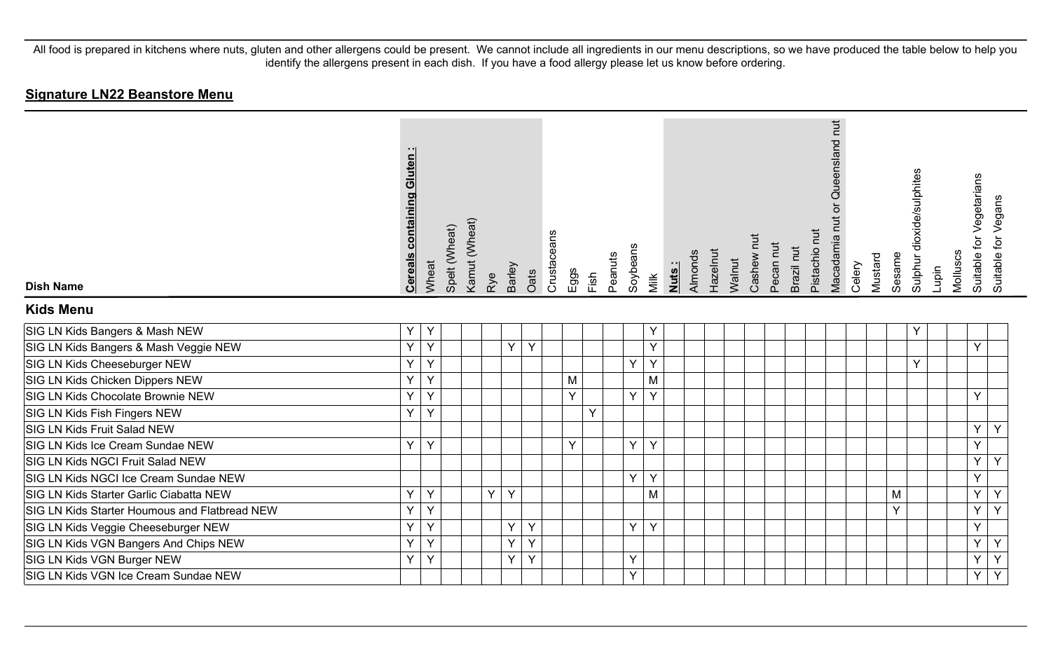| <b>Dish Name</b>                              | <b>Cereals containing Gluten:</b> | Wheat | Spelt (Wheat) | Kamut (Wheat) | Rye | <b>Barley</b> | Oats | Crustaceans | Eggs | Fish | Peanuts | Soybeans | Milk | Nuts: | Almonds | Hazelnut | Walnut | Cashew nut | Pecan nut | Brazil nut | Pistachio nut | Queensland nut<br>$\overleftarrow{\mathrm{o}}$<br>Macadamia nut | Celery | Mustard | Sesame | Sulphur dioxide/sulphites | Lupin | Molluscs | Suitable for Vegetarians<br>Suitable for Vegans |
|-----------------------------------------------|-----------------------------------|-------|---------------|---------------|-----|---------------|------|-------------|------|------|---------|----------|------|-------|---------|----------|--------|------------|-----------|------------|---------------|-----------------------------------------------------------------|--------|---------|--------|---------------------------|-------|----------|-------------------------------------------------|
| <b>Kids Menu</b>                              |                                   |       |               |               |     |               |      |             |      |      |         |          |      |       |         |          |        |            |           |            |               |                                                                 |        |         |        |                           |       |          |                                                 |
| SIG LN Kids Bangers & Mash NEW                | Υ                                 | Y     |               |               |     |               |      |             |      |      |         |          | Υ    |       |         |          |        |            |           |            |               |                                                                 |        |         |        | Y                         |       |          |                                                 |
| SIG LN Kids Bangers & Mash Veggie NEW         | Y                                 | Y     |               |               |     | $\vee$        | Y    |             |      |      |         |          | Y    |       |         |          |        |            |           |            |               |                                                                 |        |         |        |                           |       |          | $\vee$                                          |
| SIG LN Kids Cheeseburger NEW                  | Y                                 | Y     |               |               |     |               |      |             |      |      |         | Y        | Y    |       |         |          |        |            |           |            |               |                                                                 |        |         |        | Y                         |       |          |                                                 |
| SIG LN Kids Chicken Dippers NEW               | Ÿ                                 | Y     |               |               |     |               |      |             | M    |      |         |          | M    |       |         |          |        |            |           |            |               |                                                                 |        |         |        |                           |       |          |                                                 |
| SIG LN Kids Chocolate Brownie NEW             | Y                                 | Y     |               |               |     |               |      |             | Y    |      |         | Y        | Y    |       |         |          |        |            |           |            |               |                                                                 |        |         |        |                           |       |          | Y                                               |
| SIG LN Kids Fish Fingers NEW                  | Y                                 | Y     |               |               |     |               |      |             |      | Y    |         |          |      |       |         |          |        |            |           |            |               |                                                                 |        |         |        |                           |       |          |                                                 |
| SIG LN Kids Fruit Salad NEW                   |                                   |       |               |               |     |               |      |             |      |      |         |          |      |       |         |          |        |            |           |            |               |                                                                 |        |         |        |                           |       |          | Y<br>Y                                          |
| SIG LN Kids Ice Cream Sundae NEW              | Y                                 | Y     |               |               |     |               |      |             | Y    |      |         | Y        | Y    |       |         |          |        |            |           |            |               |                                                                 |        |         |        |                           |       |          | Y                                               |
| SIG LN Kids NGCI Fruit Salad NEW              |                                   |       |               |               |     |               |      |             |      |      |         |          |      |       |         |          |        |            |           |            |               |                                                                 |        |         |        |                           |       |          | Y<br>Y                                          |
| SIG LN Kids NGCI Ice Cream Sundae NEW         |                                   |       |               |               |     |               |      |             |      |      |         | Y        | Y    |       |         |          |        |            |           |            |               |                                                                 |        |         |        |                           |       |          | Y                                               |
| SIG LN Kids Starter Garlic Ciabatta NEW       | Υ                                 | Y     |               |               | Y   | Y             |      |             |      |      |         |          | M    |       |         |          |        |            |           |            |               |                                                                 |        |         | M      |                           |       |          | Y<br>Y                                          |
| SIG LN Kids Starter Houmous and Flatbread NEW | Y                                 | Y     |               |               |     |               |      |             |      |      |         |          |      |       |         |          |        |            |           |            |               |                                                                 |        |         | Y      |                           |       |          | $\overline{Y}$<br>Y                             |
| SIG LN Kids Veggie Cheeseburger NEW           | Υ                                 | Y     |               |               |     | Y             | Y    |             |      |      |         | Y        | Y    |       |         |          |        |            |           |            |               |                                                                 |        |         |        |                           |       |          | Y                                               |
| SIG LN Kids VGN Bangers And Chips NEW         | Y                                 | Y     |               |               |     | Y             | Y    |             |      |      |         |          |      |       |         |          |        |            |           |            |               |                                                                 |        |         |        |                           |       |          | Y<br>Y                                          |
| SIG LN Kids VGN Burger NEW                    | Ý                                 | Y     |               |               |     | Y             | Y    |             |      |      |         | Y        |      |       |         |          |        |            |           |            |               |                                                                 |        |         |        |                           |       |          | $\overline{Y}$<br>Y                             |
| SIG LN Kids VGN Ice Cream Sundae NEW          |                                   |       |               |               |     |               |      |             |      |      |         | Y        |      |       |         |          |        |            |           |            |               |                                                                 |        |         |        |                           |       |          | Y<br>Y                                          |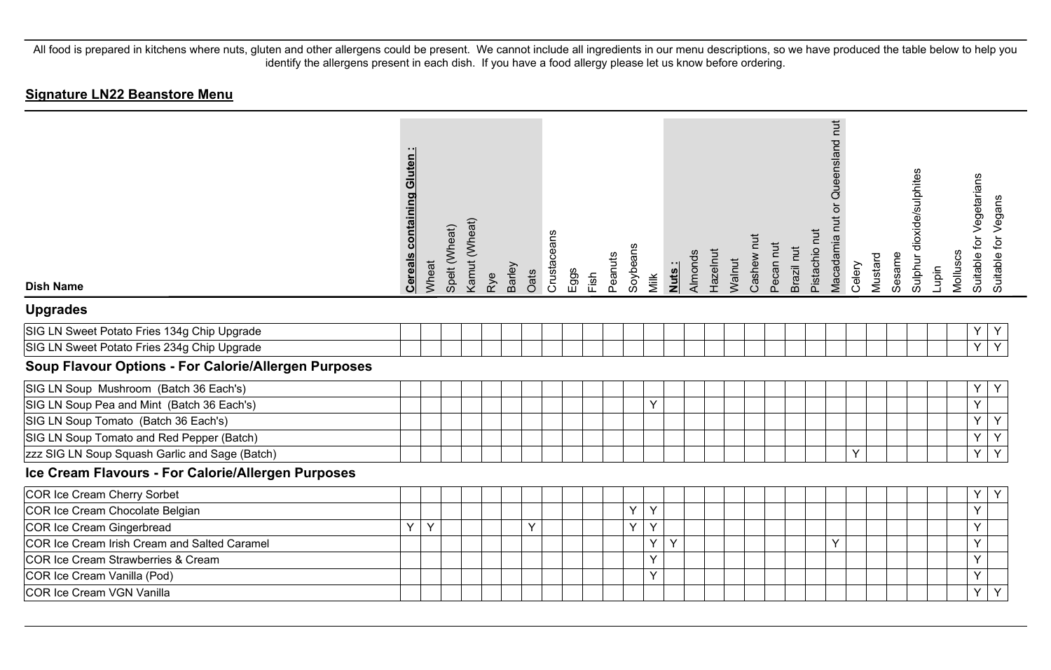| <b>Dish Name</b>                                     | <b>Cereals containing Gluten:</b> | Wheat | Spelt (Wheat) | Kamut (Wheat) | Rye | Barley | Oats | Crustaceans | Eggs | Fixh | Peanuts | Soybeans | Milk | Almonds<br>Nuts: | Hazelnut | Walnut | Cashew nut | Pecan nut | Brazil nut | Pistachio nut | Queensland nut<br>$\overline{\sigma}$<br>Macadamia nut | Celery | Mustard | Sesame | Sulphur dioxide/sulphites | Lupin | Molluscs | for Vegetarians<br>Suitable 1    | Suitable for Vegans |
|------------------------------------------------------|-----------------------------------|-------|---------------|---------------|-----|--------|------|-------------|------|------|---------|----------|------|------------------|----------|--------|------------|-----------|------------|---------------|--------------------------------------------------------|--------|---------|--------|---------------------------|-------|----------|----------------------------------|---------------------|
| <b>Upgrades</b>                                      |                                   |       |               |               |     |        |      |             |      |      |         |          |      |                  |          |        |            |           |            |               |                                                        |        |         |        |                           |       |          |                                  |                     |
| SIG LN Sweet Potato Fries 134g Chip Upgrade          |                                   |       |               |               |     |        |      |             |      |      |         |          |      |                  |          |        |            |           |            |               |                                                        |        |         |        |                           |       |          | Υ<br>Y                           |                     |
| SIG LN Sweet Potato Fries 234g Chip Upgrade          |                                   |       |               |               |     |        |      |             |      |      |         |          |      |                  |          |        |            |           |            |               |                                                        |        |         |        |                           |       |          | $\overline{Y}$<br>$\overline{Y}$ |                     |
| Soup Flavour Options - For Calorie/Allergen Purposes |                                   |       |               |               |     |        |      |             |      |      |         |          |      |                  |          |        |            |           |            |               |                                                        |        |         |        |                           |       |          |                                  |                     |
| SIG LN Soup Mushroom (Batch 36 Each's)               |                                   |       |               |               |     |        |      |             |      |      |         |          |      |                  |          |        |            |           |            |               |                                                        |        |         |        |                           |       |          | Y<br>Y                           |                     |
| SIG LN Soup Pea and Mint (Batch 36 Each's)           |                                   |       |               |               |     |        |      |             |      |      |         |          | Y    |                  |          |        |            |           |            |               |                                                        |        |         |        |                           |       |          | Y                                |                     |
| SIG LN Soup Tomato (Batch 36 Each's)                 |                                   |       |               |               |     |        |      |             |      |      |         |          |      |                  |          |        |            |           |            |               |                                                        |        |         |        |                           |       |          | Y<br>Y                           |                     |
| SIG LN Soup Tomato and Red Pepper (Batch)            |                                   |       |               |               |     |        |      |             |      |      |         |          |      |                  |          |        |            |           |            |               |                                                        |        |         |        |                           |       |          | $\overline{Y}$<br>Y              |                     |
| zzz SIG LN Soup Squash Garlic and Sage (Batch)       |                                   |       |               |               |     |        |      |             |      |      |         |          |      |                  |          |        |            |           |            |               |                                                        | Y      |         |        |                           |       |          | $\overline{Y}$<br>Y.             |                     |
| Ice Cream Flavours - For Calorie/Allergen Purposes   |                                   |       |               |               |     |        |      |             |      |      |         |          |      |                  |          |        |            |           |            |               |                                                        |        |         |        |                           |       |          |                                  |                     |
| COR Ice Cream Cherry Sorbet                          |                                   |       |               |               |     |        |      |             |      |      |         |          |      |                  |          |        |            |           |            |               |                                                        |        |         |        |                           |       |          | Y<br>Y                           |                     |
| COR Ice Cream Chocolate Belgian                      |                                   |       |               |               |     |        |      |             |      |      |         | Y        | Y    |                  |          |        |            |           |            |               |                                                        |        |         |        |                           |       |          | Y                                |                     |
| COR Ice Cream Gingerbread                            | Y                                 | Y     |               |               |     |        | Y    |             |      |      |         | Ÿ        | Y    |                  |          |        |            |           |            |               |                                                        |        |         |        |                           |       |          | Y                                |                     |
| COR Ice Cream Irish Cream and Salted Caramel         |                                   |       |               |               |     |        |      |             |      |      |         |          | Υ    | Y                |          |        |            |           |            |               | Y                                                      |        |         |        |                           |       |          | Y                                |                     |
| COR Ice Cream Strawberries & Cream                   |                                   |       |               |               |     |        |      |             |      |      |         |          | Y    |                  |          |        |            |           |            |               |                                                        |        |         |        |                           |       |          | Y                                |                     |
| COR Ice Cream Vanilla (Pod)                          |                                   |       |               |               |     |        |      |             |      |      |         |          | Y    |                  |          |        |            |           |            |               |                                                        |        |         |        |                           |       |          | Y                                |                     |
| COR Ice Cream VGN Vanilla                            |                                   |       |               |               |     |        |      |             |      |      |         |          |      |                  |          |        |            |           |            |               |                                                        |        |         |        |                           |       |          | Y<br>Y                           |                     |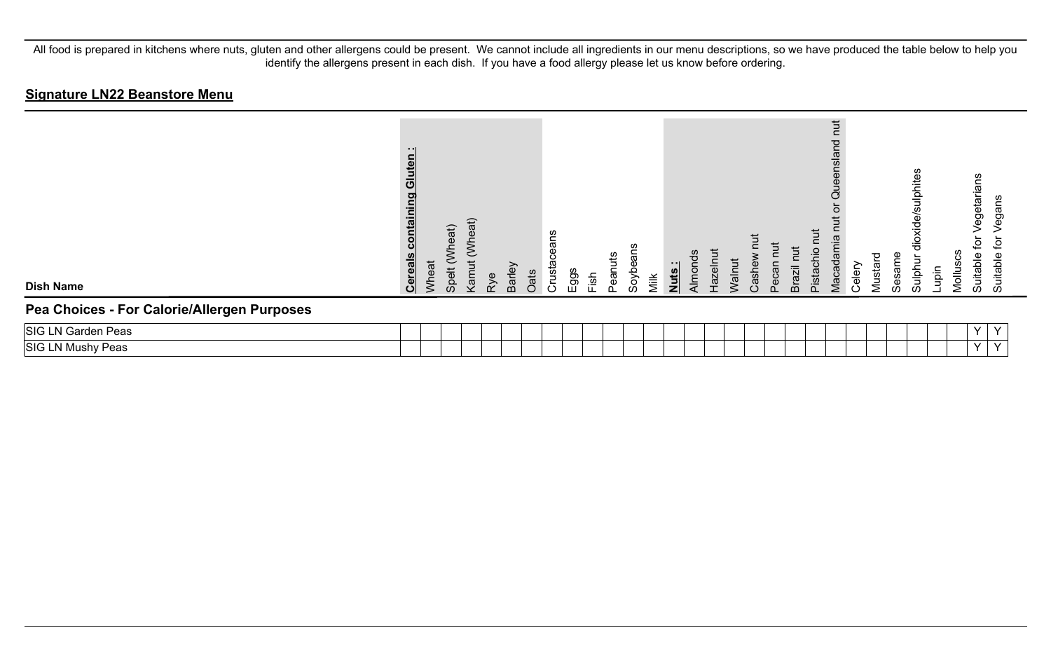| <b>Dish Name</b>                            | - 11<br>Gluten<br>containing<br><b>Cereals</b> | Wheat | (Wheat)<br>Spelt | eat)<br>Š<br>Kamut | Rye | Barley | Oats | ans<br>Crusta | $\frac{2}{5}$ | $\frac{1}{1}$ sh | etu<br>neac | advoe | Milk | Nuts: | Almonds | <b>Hazelnu</b> | <b>Walnut</b> | Cashe | Pecan | <b>Brazil</b> | ぢ<br>$\overline{\mathsf{C}}$<br>Pistachio | <b>Tut</b><br>ensland<br>Que<br>amia<br>Vlacada | Celery | p<br>Mustar | Sesame | dioxide/sulphites<br>⋾<br>Sulphi | aiqu | Molluscs | egetaria<br>ق<br>Suitable | gans<br>ω<br>ڡ<br>Suitable |  |
|---------------------------------------------|------------------------------------------------|-------|------------------|--------------------|-----|--------|------|---------------|---------------|------------------|-------------|-------|------|-------|---------|----------------|---------------|-------|-------|---------------|-------------------------------------------|-------------------------------------------------|--------|-------------|--------|----------------------------------|------|----------|---------------------------|----------------------------|--|
| Pea Choices - For Calorie/Allergen Purposes |                                                |       |                  |                    |     |        |      |               |               |                  |             |       |      |       |         |                |               |       |       |               |                                           |                                                 |        |             |        |                                  |      |          |                           |                            |  |
| SIG LN Garden Peas                          |                                                |       |                  |                    |     |        |      |               |               |                  |             |       |      |       |         |                |               |       |       |               |                                           |                                                 |        |             |        |                                  |      |          | $\checkmark$              | $\checkmark$               |  |
| SIG LN Mushy Peas                           |                                                |       |                  |                    |     |        |      |               |               |                  |             |       |      |       |         |                |               |       |       |               |                                           |                                                 |        |             |        |                                  |      |          | $\vee$                    | $\checkmark$               |  |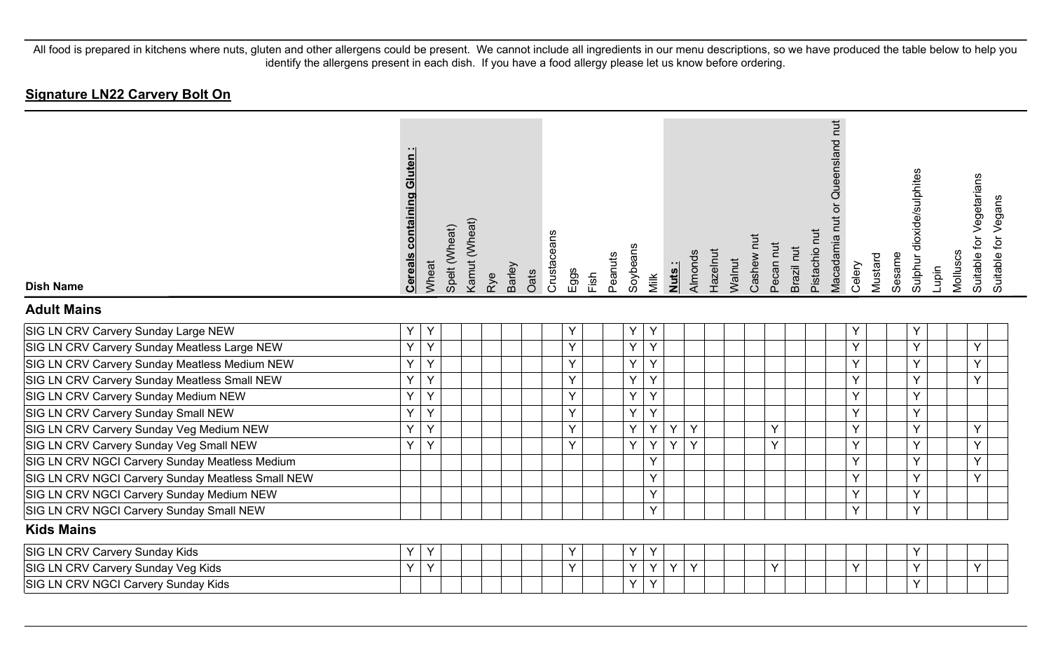# **Signature LN22 Carvery Bolt On**

| <b>Dish Name</b>                                  | <b>Cereals containing Gluten:</b> | Wheat | Spelt (Wheat) | Kamut (Wheat) | Rye | Barley | Oats | Crustaceans | Eggs | Fish | Peanuts | Soybeans | Milk | Nuts: | Almonds | Hazelnut | Walnut | Cashew nut | Pecan nut | Brazil nut | Pistachio nut | Queensland nut<br>Macadamia nut or | Celery | Mustard | Sesame | Sulphur dioxide/sulphites | Lupin | Molluscs | Suitable for Vegetarians | Suitable for Vegans |
|---------------------------------------------------|-----------------------------------|-------|---------------|---------------|-----|--------|------|-------------|------|------|---------|----------|------|-------|---------|----------|--------|------------|-----------|------------|---------------|------------------------------------|--------|---------|--------|---------------------------|-------|----------|--------------------------|---------------------|
| <b>Adult Mains</b>                                |                                   |       |               |               |     |        |      |             |      |      |         |          |      |       |         |          |        |            |           |            |               |                                    |        |         |        |                           |       |          |                          |                     |
| SIG LN CRV Carvery Sunday Large NEW               | Y                                 | Y     |               |               |     |        |      |             | Y    |      |         | Y        | Y    |       |         |          |        |            |           |            |               |                                    | Y      |         |        | Y                         |       |          |                          |                     |
| SIG LN CRV Carvery Sunday Meatless Large NEW      | Y                                 | Y     |               |               |     |        |      |             | Y    |      |         | Y        | Y    |       |         |          |        |            |           |            |               |                                    | Y      |         |        | Y                         |       |          | Y                        |                     |
| SIG LN CRV Carvery Sunday Meatless Medium NEW     | Y                                 | Y     |               |               |     |        |      |             | Y    |      |         | Y        | Y    |       |         |          |        |            |           |            |               |                                    | Y      |         |        | Y                         |       |          | Y                        |                     |
| SIG LN CRV Carvery Sunday Meatless Small NEW      | Y                                 | Y     |               |               |     |        |      |             | Y    |      |         | Y        | Y    |       |         |          |        |            |           |            |               |                                    | Y      |         |        | Y                         |       |          | Y                        |                     |
| SIG LN CRV Carvery Sunday Medium NEW              | Y                                 | Y     |               |               |     |        |      |             | Y    |      |         | Y        | Y    |       |         |          |        |            |           |            |               |                                    | Y      |         |        | Y                         |       |          |                          |                     |
| SIG LN CRV Carvery Sunday Small NEW               | Y                                 | Y     |               |               |     |        |      |             | Y    |      |         | Y        | Y    |       |         |          |        |            |           |            |               |                                    | Y      |         |        | Y                         |       |          |                          |                     |
| SIG LN CRV Carvery Sunday Veg Medium NEW          | Y                                 | Y     |               |               |     |        |      |             | Y    |      |         | Y        | Y    | Y     | Y       |          |        |            | Y         |            |               |                                    | Y      |         |        | Y                         |       |          | Y                        |                     |
| SIG LN CRV Carvery Sunday Veg Small NEW           | Y                                 | Y     |               |               |     |        |      |             | Y    |      |         | Y        | Y    | Y     | Y       |          |        |            | Y         |            |               |                                    | Y      |         |        | Y                         |       |          | Y                        |                     |
| SIG LN CRV NGCI Carvery Sunday Meatless Medium    |                                   |       |               |               |     |        |      |             |      |      |         |          | Y    |       |         |          |        |            |           |            |               |                                    | Y      |         |        | Y                         |       |          | Y                        |                     |
| SIG LN CRV NGCI Carvery Sunday Meatless Small NEW |                                   |       |               |               |     |        |      |             |      |      |         |          | Y    |       |         |          |        |            |           |            |               |                                    | Y      |         |        | Y                         |       |          | Υ                        |                     |
| SIG LN CRV NGCI Carvery Sunday Medium NEW         |                                   |       |               |               |     |        |      |             |      |      |         |          | Y    |       |         |          |        |            |           |            |               |                                    | Y      |         |        | Y                         |       |          |                          |                     |
| SIG LN CRV NGCI Carvery Sunday Small NEW          |                                   |       |               |               |     |        |      |             |      |      |         |          | Y    |       |         |          |        |            |           |            |               |                                    | Y      |         |        | Y.                        |       |          |                          |                     |
| <b>Kids Mains</b>                                 |                                   |       |               |               |     |        |      |             |      |      |         |          |      |       |         |          |        |            |           |            |               |                                    |        |         |        |                           |       |          |                          |                     |
| SIG LN CRV Carvery Sunday Kids                    | Y                                 | Y     |               |               |     |        |      |             | Y    |      |         | Y        | Y    |       |         |          |        |            |           |            |               |                                    |        |         |        | Υ                         |       |          |                          |                     |
| SIG LN CRV Carvery Sunday Veg Kids                | Y                                 | Y     |               |               |     |        |      |             | Y    |      |         | Y        | Y    | Y     | Y       |          |        |            | Υ         |            |               |                                    | Y      |         |        | Y                         |       |          | Υ                        |                     |
| SIG LN CRV NGCI Carvery Sunday Kids               |                                   |       |               |               |     |        |      |             |      |      |         | Y        | Y    |       |         |          |        |            |           |            |               |                                    |        |         |        | Y                         |       |          |                          |                     |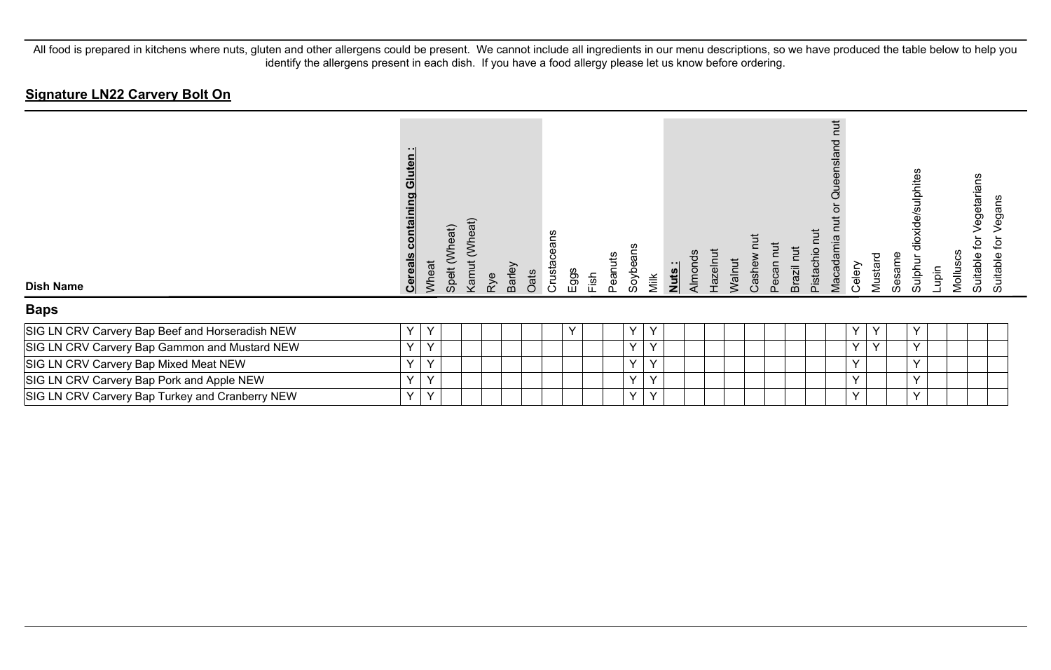# **Signature LN22 Carvery Bolt On**

| <b>Dish Name</b>                                | - 11<br>uten<br><u>containing</u><br><b>Cereals</b> | Wheat | Spelt (Wheat) | (Wheat)<br>Kamut | Rye | Barley<br>Oats | Crustaceans | Eggs         | Fish | Peanuts | ëan<br>Soybe | Milk         | Nuts: | Almonds | Hazelnut | Walnut | Cashew | Pecan nut | Tut<br>Brazil I | <b>TUT</b><br>Pistachio | hut<br>P<br>nsla<br>Queer<br>Macadamia | Celery       | Mustard      | Sesame | dioxide/sulphites<br>Sulphur | Lupin | SCS<br>Mollu <sup>s</sup> | egetaria<br>호<br>Suitable | egans<br>⊋<br>Suitable |  |
|-------------------------------------------------|-----------------------------------------------------|-------|---------------|------------------|-----|----------------|-------------|--------------|------|---------|--------------|--------------|-------|---------|----------|--------|--------|-----------|-----------------|-------------------------|----------------------------------------|--------------|--------------|--------|------------------------------|-------|---------------------------|---------------------------|------------------------|--|
| <b>Baps</b>                                     |                                                     |       |               |                  |     |                |             |              |      |         |              |              |       |         |          |        |        |           |                 |                         |                                        |              |              |        |                              |       |                           |                           |                        |  |
| SIG LN CRV Carvery Bap Beef and Horseradish NEW | Y                                                   | Y     |               |                  |     |                |             | $\checkmark$ |      |         | Y            | Y            |       |         |          |        |        |           |                 |                         |                                        | Y            | $\checkmark$ |        | Y                            |       |                           |                           |                        |  |
| SIG LN CRV Carvery Bap Gammon and Mustard NEW   | v.                                                  | Y     |               |                  |     |                |             |              |      |         | Y            | $\checkmark$ |       |         |          |        |        |           |                 |                         |                                        | $\vee$       | $\checkmark$ |        | Y                            |       |                           |                           |                        |  |
| SIG LN CRV Carvery Bap Mixed Meat NEW           | $\vee$                                              | Y     |               |                  |     |                |             |              |      |         | Y            | $\checkmark$ |       |         |          |        |        |           |                 |                         |                                        | $\checkmark$ |              |        | $\checkmark$                 |       |                           |                           |                        |  |
| SIG LN CRV Carvery Bap Pork and Apple NEW       | $\vee$                                              | V     |               |                  |     |                |             |              |      |         | $\vee$       | $\checkmark$ |       |         |          |        |        |           |                 |                         |                                        | $\checkmark$ |              |        | $\vee$                       |       |                           |                           |                        |  |
| SIG LN CRV Carvery Bap Turkey and Cranberry NEW | Y                                                   | Y     |               |                  |     |                |             |              |      |         | Y            | Y            |       |         |          |        |        |           |                 |                         |                                        | $\checkmark$ |              |        | Y                            |       |                           |                           |                        |  |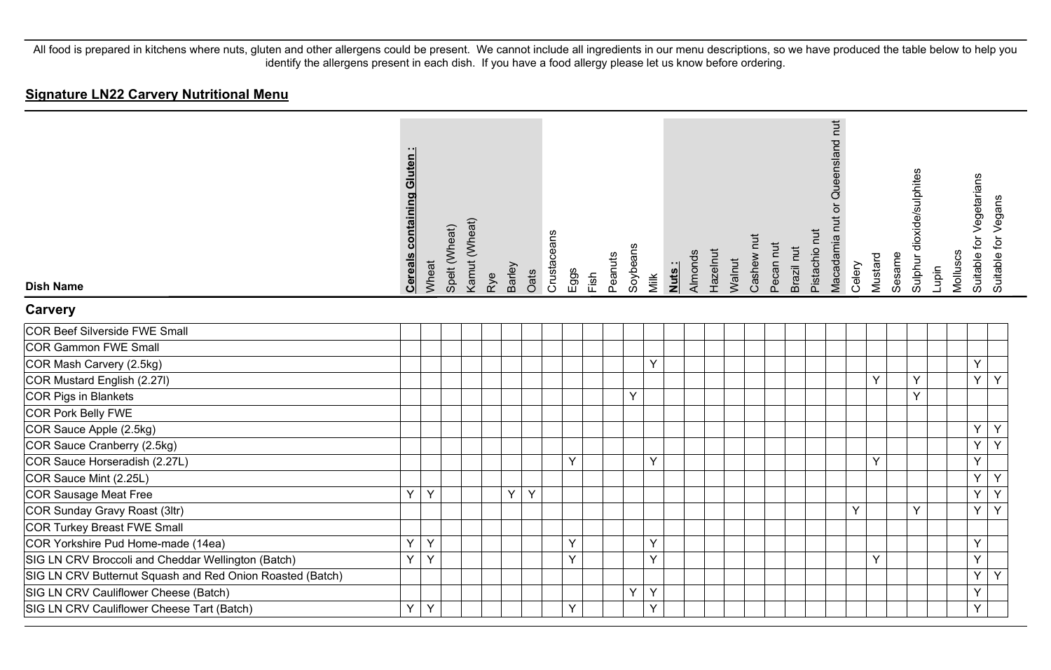#### **Signature LN22 Carvery Nutritional Menu**

| <b>Dish Name</b>                                          | <b>Cereals containing Gluten:</b> | Wheat | Spelt (Wheat) | Kamut (Wheat) | Barley<br>Rye | Oats | Crustaceans | Eggs | Fish | Peanuts | Soybeans | Milk | Nuts: | Hazelnut<br>Almonds | Walnut | Cashew nut | Pecan nut | Brazil nut | Pistachio nut | Macadamia nut or Queensland nut | Celery | Mustard | Sesame | Sulphur dioxide/sulphites | Lupin | Molluscs | Suitable for Vegetarians | Suitable for Vegans |
|-----------------------------------------------------------|-----------------------------------|-------|---------------|---------------|---------------|------|-------------|------|------|---------|----------|------|-------|---------------------|--------|------------|-----------|------------|---------------|---------------------------------|--------|---------|--------|---------------------------|-------|----------|--------------------------|---------------------|
| <b>Carvery</b>                                            |                                   |       |               |               |               |      |             |      |      |         |          |      |       |                     |        |            |           |            |               |                                 |        |         |        |                           |       |          |                          |                     |
| COR Beef Silverside FWE Small                             |                                   |       |               |               |               |      |             |      |      |         |          |      |       |                     |        |            |           |            |               |                                 |        |         |        |                           |       |          |                          |                     |
| COR Gammon FWE Small                                      |                                   |       |               |               |               |      |             |      |      |         |          |      |       |                     |        |            |           |            |               |                                 |        |         |        |                           |       |          |                          |                     |
| COR Mash Carvery (2.5kg)                                  |                                   |       |               |               |               |      |             |      |      |         |          | Y    |       |                     |        |            |           |            |               |                                 |        |         |        |                           |       |          | Y                        |                     |
| COR Mustard English (2.27I)                               |                                   |       |               |               |               |      |             |      |      |         |          |      |       |                     |        |            |           |            |               |                                 |        | Y       |        | Y                         |       |          | Y                        | Y                   |
| COR Pigs in Blankets                                      |                                   |       |               |               |               |      |             |      |      |         | Y        |      |       |                     |        |            |           |            |               |                                 |        |         |        | Y                         |       |          |                          |                     |
| COR Pork Belly FWE                                        |                                   |       |               |               |               |      |             |      |      |         |          |      |       |                     |        |            |           |            |               |                                 |        |         |        |                           |       |          |                          |                     |
| COR Sauce Apple (2.5kg)                                   |                                   |       |               |               |               |      |             |      |      |         |          |      |       |                     |        |            |           |            |               |                                 |        |         |        |                           |       |          | Y                        | Y                   |
| COR Sauce Cranberry (2.5kg)                               |                                   |       |               |               |               |      |             |      |      |         |          |      |       |                     |        |            |           |            |               |                                 |        |         |        |                           |       |          | Υ                        | $\overline{Y}$      |
| COR Sauce Horseradish (2.27L)                             |                                   |       |               |               |               |      |             | Y    |      |         |          | Y    |       |                     |        |            |           |            |               |                                 |        | Y       |        |                           |       |          | Y                        |                     |
| COR Sauce Mint (2.25L)                                    |                                   |       |               |               |               |      |             |      |      |         |          |      |       |                     |        |            |           |            |               |                                 |        |         |        |                           |       |          | $\overline{Y}$           | Y                   |
| COR Sausage Meat Free                                     | Υ                                 | Y     |               |               | Y             | Y    |             |      |      |         |          |      |       |                     |        |            |           |            |               |                                 |        |         |        |                           |       |          | Ý                        | $\overline{Y}$      |
| COR Sunday Gravy Roast (3ltr)                             |                                   |       |               |               |               |      |             |      |      |         |          |      |       |                     |        |            |           |            |               |                                 | Y      |         |        | Y                         |       |          | Y                        | Y                   |
| COR Turkey Breast FWE Small                               |                                   |       |               |               |               |      |             |      |      |         |          |      |       |                     |        |            |           |            |               |                                 |        |         |        |                           |       |          |                          |                     |
| COR Yorkshire Pud Home-made (14ea)                        | Y                                 | Y     |               |               |               |      |             | Y    |      |         |          | Y    |       |                     |        |            |           |            |               |                                 |        |         |        |                           |       |          | Y                        |                     |
| SIG LN CRV Broccoli and Cheddar Wellington (Batch)        | Y                                 | Y     |               |               |               |      |             | Y    |      |         |          | Y    |       |                     |        |            |           |            |               |                                 |        | Y       |        |                           |       |          | Y                        |                     |
| SIG LN CRV Butternut Squash and Red Onion Roasted (Batch) |                                   |       |               |               |               |      |             |      |      |         |          |      |       |                     |        |            |           |            |               |                                 |        |         |        |                           |       |          | Y                        | Y                   |
| SIG LN CRV Cauliflower Cheese (Batch)                     |                                   |       |               |               |               |      |             |      |      |         | Y        | Y    |       |                     |        |            |           |            |               |                                 |        |         |        |                           |       |          | Y                        |                     |
| SIG LN CRV Cauliflower Cheese Tart (Batch)                | Υ                                 | Y     |               |               |               |      |             | Y    |      |         |          | Y    |       |                     |        |            |           |            |               |                                 |        |         |        |                           |       |          | Y                        |                     |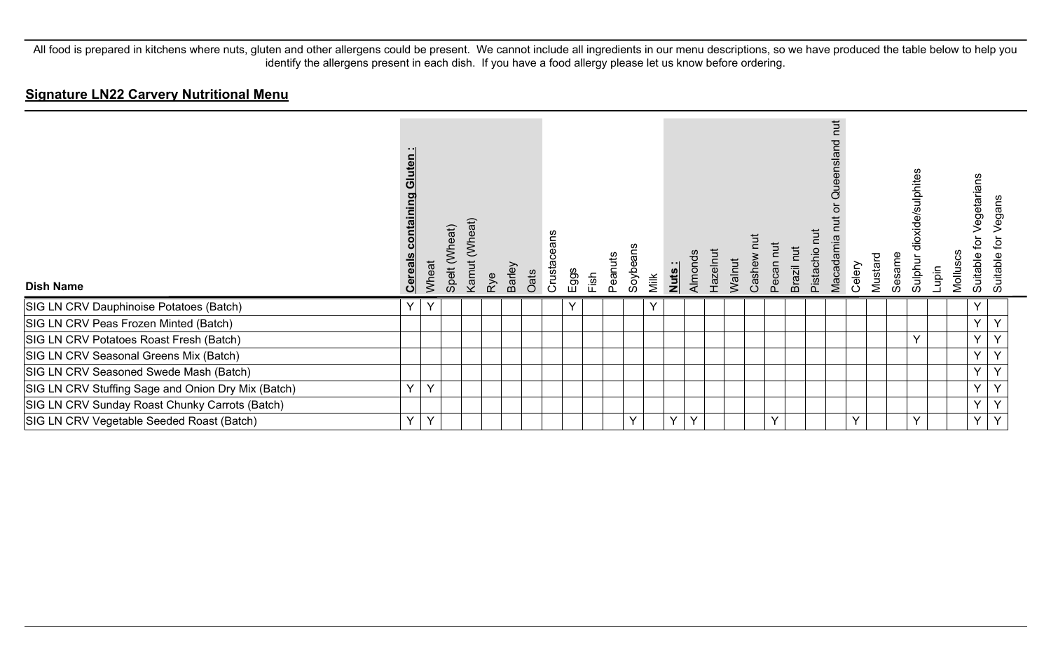#### **Signature LN22 Carvery Nutritional Menu**

| <b>Dish Name</b>                                   | uten<br>$\overline{c}$<br>pg<br><u>contair</u><br><b>Cereals</b> | Wheat | Spelt (Wheat) | (Wheat)<br>Kamut | Rye | Barley | Oats | eans<br>Crustace | Eggs | Fish | Peanuts | Soybeans | Milk | Nuts: | Almonds | Hazelnut | Walnut | Cashew | Pecan nut    | Brazil nut | $\overline{a}$<br>Pistachio | hut<br>Queensland<br>ŏ<br>Macadamia | Celery | Mustard | Sesame | dioxide/sulphites<br>Sulphur | Lupin | Molluscs | egetarians<br>><br>đ<br>Suitable | egans<br>ğ<br>Suitable |
|----------------------------------------------------|------------------------------------------------------------------|-------|---------------|------------------|-----|--------|------|------------------|------|------|---------|----------|------|-------|---------|----------|--------|--------|--------------|------------|-----------------------------|-------------------------------------|--------|---------|--------|------------------------------|-------|----------|----------------------------------|------------------------|
| SIG LN CRV Dauphinoise Potatoes (Batch)            | v                                                                | v     |               |                  |     |        |      |                  | Υ    |      |         |          | Y    |       |         |          |        |        |              |            |                             |                                     |        |         |        |                              |       |          | ν                                |                        |
| SIG LN CRV Peas Frozen Minted (Batch)              |                                                                  |       |               |                  |     |        |      |                  |      |      |         |          |      |       |         |          |        |        |              |            |                             |                                     |        |         |        |                              |       |          | $\vee$                           | Y                      |
| SIG LN CRV Potatoes Roast Fresh (Batch)            |                                                                  |       |               |                  |     |        |      |                  |      |      |         |          |      |       |         |          |        |        |              |            |                             |                                     |        |         |        | $\checkmark$                 |       |          | Y                                | Y                      |
| SIG LN CRV Seasonal Greens Mix (Batch)             |                                                                  |       |               |                  |     |        |      |                  |      |      |         |          |      |       |         |          |        |        |              |            |                             |                                     |        |         |        |                              |       |          | Y                                | $\checkmark$           |
| SIG LN CRV Seasoned Swede Mash (Batch)             |                                                                  |       |               |                  |     |        |      |                  |      |      |         |          |      |       |         |          |        |        |              |            |                             |                                     |        |         |        |                              |       |          | Y                                | Y                      |
| SIG LN CRV Stuffing Sage and Onion Dry Mix (Batch) | Y                                                                | Y     |               |                  |     |        |      |                  |      |      |         |          |      |       |         |          |        |        |              |            |                             |                                     |        |         |        |                              |       |          | $\vee$                           | $\checkmark$           |
| SIG LN CRV Sunday Roast Chunky Carrots (Batch)     |                                                                  |       |               |                  |     |        |      |                  |      |      |         |          |      |       |         |          |        |        |              |            |                             |                                     |        |         |        |                              |       |          | $\checkmark$                     | $\checkmark$           |
| SIG LN CRV Vegetable Seeded Roast (Batch)          | Y                                                                | Y     |               |                  |     |        |      |                  |      |      |         | Y        |      | Y     | $\vee$  |          |        |        | $\checkmark$ |            |                             |                                     | Y      |         |        | $\checkmark$                 |       |          | $\vee$                           | $\checkmark$           |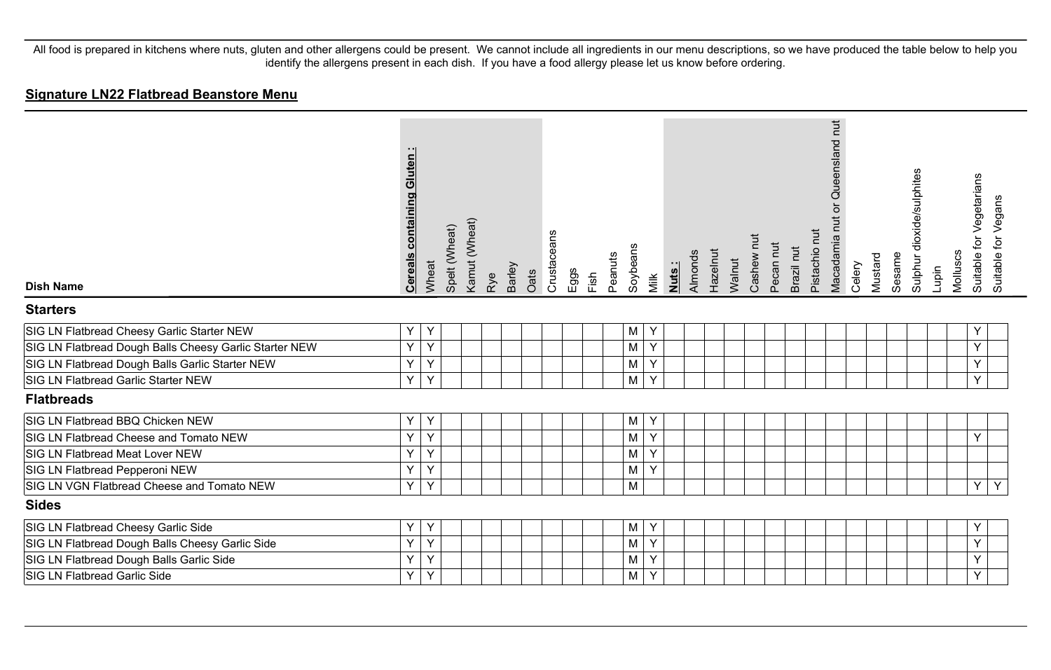#### **Signature LN22 Flatbread Beanstore Menu**

| <b>Dish Name</b>                                       | <b>Cereals containing Gluten</b> | Wheat | Spelt (Wheat) | Kamut (Wheat) | Rye | Barley | Oats | Crustaceans | Eggs | Fish | Soybeans<br>Peanuts | Milk | Nuts: | Almonds | Hazelnut | Walnut | Cashew nut | Pecan nut | Brazil nut | Pistachio nut | Queensland nut<br>$\overleftarrow{\mathrm{o}}$<br>Macadamia nut | Celery | Mustard | Sesame | Sulphur dioxide/sulphites | Lupin | Molluscs | Suitable for Vegetarians<br>Suitable for Vegans |  |
|--------------------------------------------------------|----------------------------------|-------|---------------|---------------|-----|--------|------|-------------|------|------|---------------------|------|-------|---------|----------|--------|------------|-----------|------------|---------------|-----------------------------------------------------------------|--------|---------|--------|---------------------------|-------|----------|-------------------------------------------------|--|
| <b>Starters</b>                                        |                                  |       |               |               |     |        |      |             |      |      |                     |      |       |         |          |        |            |           |            |               |                                                                 |        |         |        |                           |       |          |                                                 |  |
| SIG LN Flatbread Cheesy Garlic Starter NEW             | Y                                | Y     |               |               |     |        |      |             |      |      | M                   | Y    |       |         |          |        |            |           |            |               |                                                                 |        |         |        |                           |       |          | Y                                               |  |
| SIG LN Flatbread Dough Balls Cheesy Garlic Starter NEW | Y                                | Y     |               |               |     |        |      |             |      |      | M                   | Y    |       |         |          |        |            |           |            |               |                                                                 |        |         |        |                           |       |          | Y                                               |  |
| SIG LN Flatbread Dough Balls Garlic Starter NEW        | Y                                | Y     |               |               |     |        |      |             |      |      | M                   | Y    |       |         |          |        |            |           |            |               |                                                                 |        |         |        |                           |       |          | Y                                               |  |
| SIG LN Flatbread Garlic Starter NEW                    | Y                                | Y     |               |               |     |        |      |             |      |      | M                   | Y    |       |         |          |        |            |           |            |               |                                                                 |        |         |        |                           |       |          | Y                                               |  |
| <b>Flatbreads</b>                                      |                                  |       |               |               |     |        |      |             |      |      |                     |      |       |         |          |        |            |           |            |               |                                                                 |        |         |        |                           |       |          |                                                 |  |
| SIG LN Flatbread BBQ Chicken NEW                       | Y                                | Y     |               |               |     |        |      |             |      |      | M                   | Y    |       |         |          |        |            |           |            |               |                                                                 |        |         |        |                           |       |          |                                                 |  |
| SIG LN Flatbread Cheese and Tomato NEW                 | Y                                | Y     |               |               |     |        |      |             |      |      | M                   | Y    |       |         |          |        |            |           |            |               |                                                                 |        |         |        |                           |       |          | Υ                                               |  |
| SIG LN Flatbread Meat Lover NEW                        | Ÿ                                | Y     |               |               |     |        |      |             |      |      | M                   | Y    |       |         |          |        |            |           |            |               |                                                                 |        |         |        |                           |       |          |                                                 |  |
| SIG LN Flatbread Pepperoni NEW                         | Y                                | Y     |               |               |     |        |      |             |      |      | M                   | Y    |       |         |          |        |            |           |            |               |                                                                 |        |         |        |                           |       |          |                                                 |  |
| SIG LN VGN Flatbread Cheese and Tomato NEW             | Y                                | Y     |               |               |     |        |      |             |      |      | M                   |      |       |         |          |        |            |           |            |               |                                                                 |        |         |        |                           |       |          | Y<br>Y                                          |  |
| <b>Sides</b>                                           |                                  |       |               |               |     |        |      |             |      |      |                     |      |       |         |          |        |            |           |            |               |                                                                 |        |         |        |                           |       |          |                                                 |  |
| SIG LN Flatbread Cheesy Garlic Side                    | Y                                | Y     |               |               |     |        |      |             |      |      | M                   | Υ    |       |         |          |        |            |           |            |               |                                                                 |        |         |        |                           |       |          | Y                                               |  |
| SIG LN Flatbread Dough Balls Cheesy Garlic Side        | Y                                | Y     |               |               |     |        |      |             |      |      | M                   | Y    |       |         |          |        |            |           |            |               |                                                                 |        |         |        |                           |       |          | Y                                               |  |
| SIG LN Flatbread Dough Balls Garlic Side               | Y                                | Y     |               |               |     |        |      |             |      |      | M                   | Y    |       |         |          |        |            |           |            |               |                                                                 |        |         |        |                           |       |          | Y                                               |  |
| <b>SIG LN Flatbread Garlic Side</b>                    | Y                                | Υ     |               |               |     |        |      |             |      |      | M                   | Y    |       |         |          |        |            |           |            |               |                                                                 |        |         |        |                           |       |          | Y                                               |  |